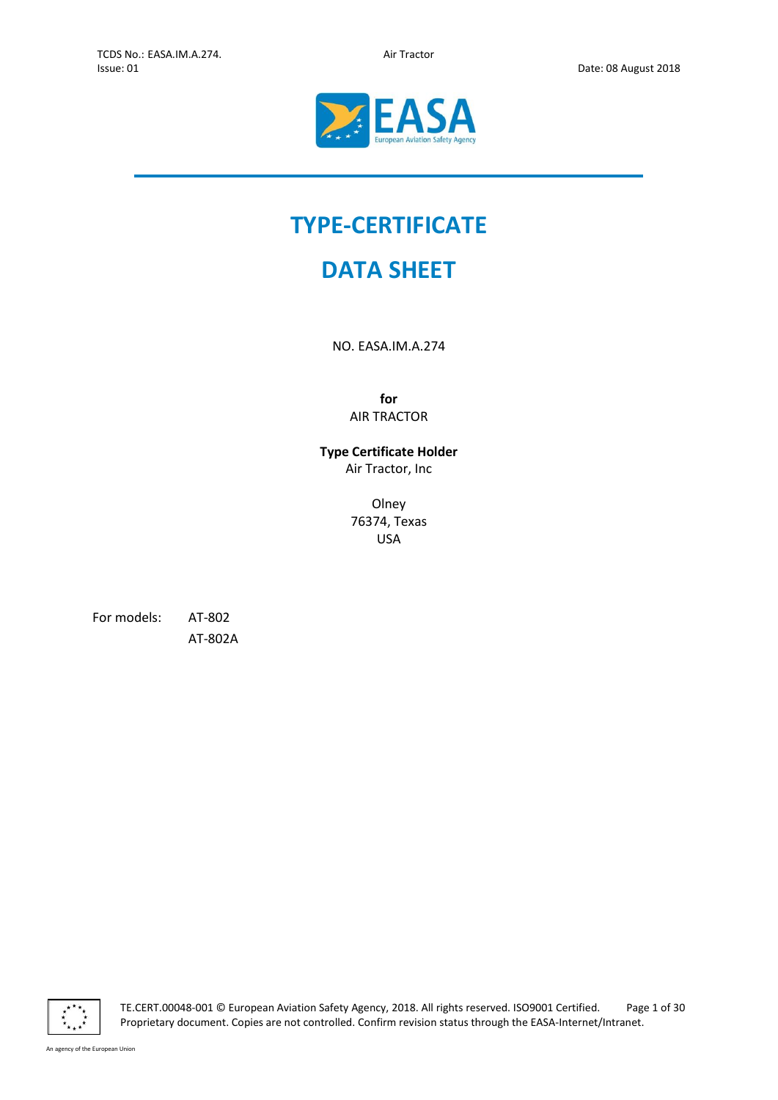

# **TYPE-CERTIFICATE**

# **DATA SHEET**

NO. EASA.IM.A.274

**for** AIR TRACTOR

**Type Certificate Holder** Air Tractor, Inc

> Olney 76374, Texas USA

For models: AT-802 AT-802A

 $\ddot{\ddot{\cdot}}$  $\ddot{\mathbf{r}}_{\star\star}$ 

TE.CERT.00048-001 © European Aviation Safety Agency, 2018. All rights reserved. ISO9001 Certified. Page 1 of 30 Proprietary document. Copies are not controlled. Confirm revision status through the EASA-Internet/Intranet.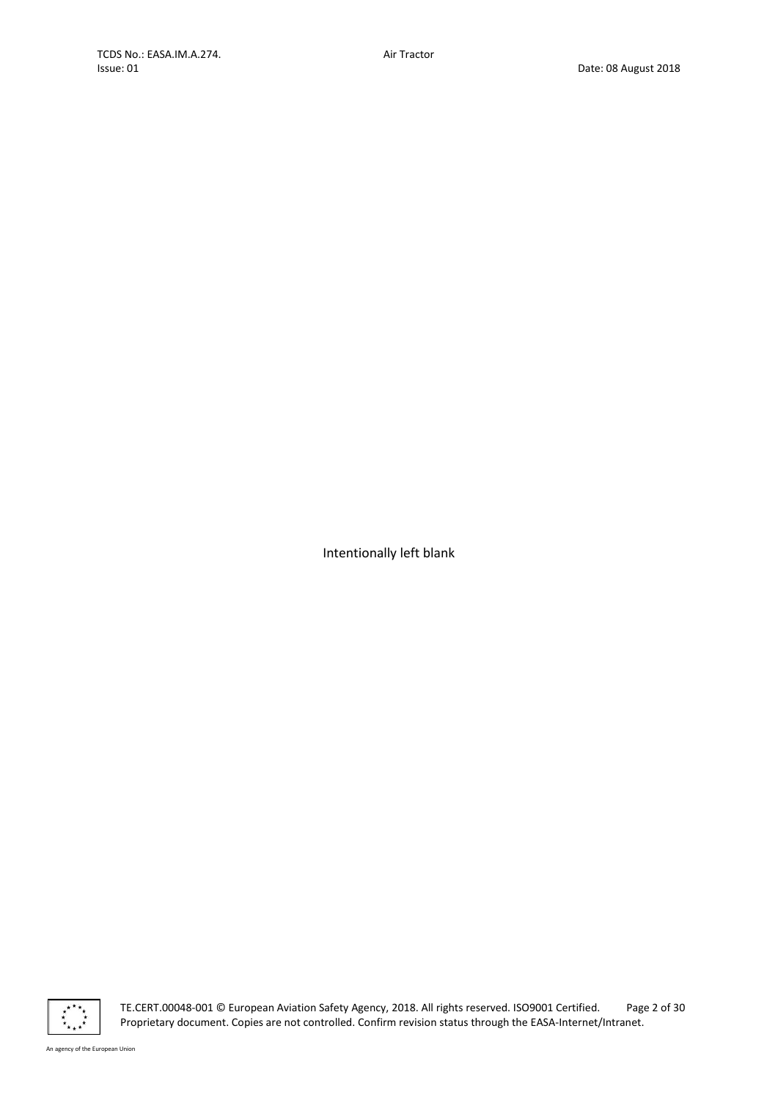Intentionally left blank



TE.CERT.00048-001 © European Aviation Safety Agency, 2018. All rights reserved. ISO9001 Certified. Page 2 of 30 Proprietary document. Copies are not controlled. Confirm revision status through the EASA-Internet/Intranet.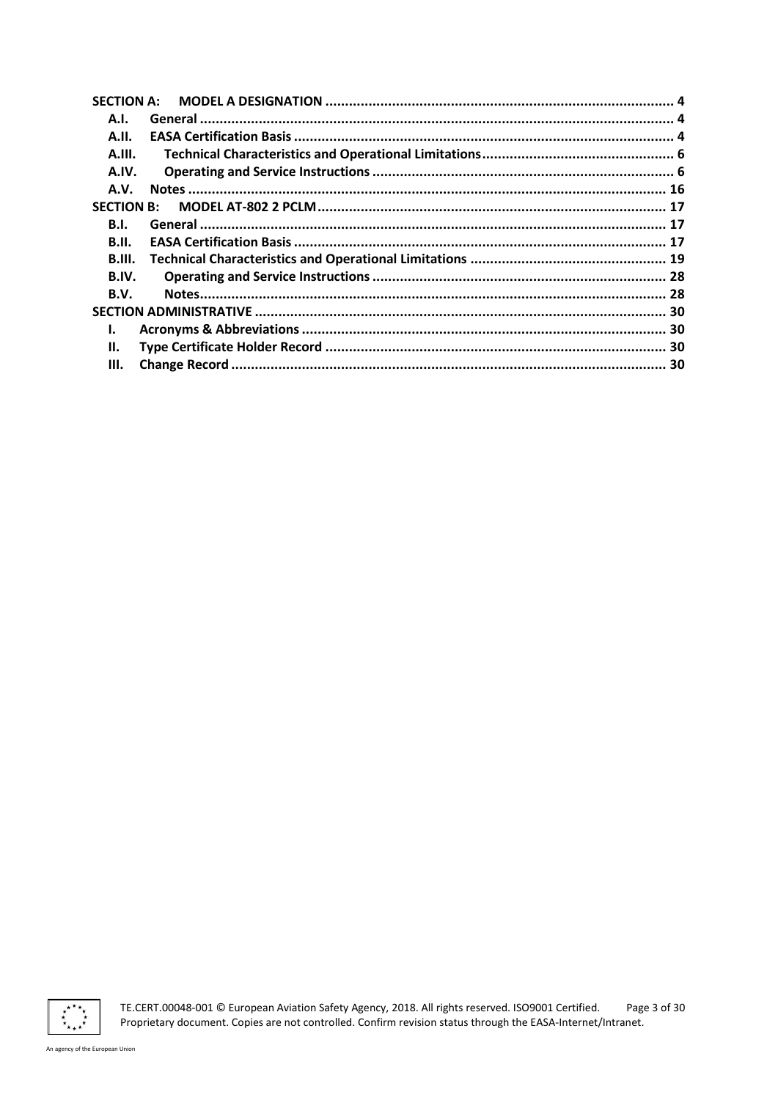| <b>SECTION A:</b> |  |
|-------------------|--|
| A.I.              |  |
| A.II.             |  |
| A.III.            |  |
| A.IV.             |  |
| A.V.              |  |
| <b>SECTION B:</b> |  |
| <b>B.I.</b>       |  |
| B.II.             |  |
| B.III.            |  |
| B.IV.             |  |
| B.V.              |  |
|                   |  |
| L.                |  |
| Ш.                |  |
| III.              |  |

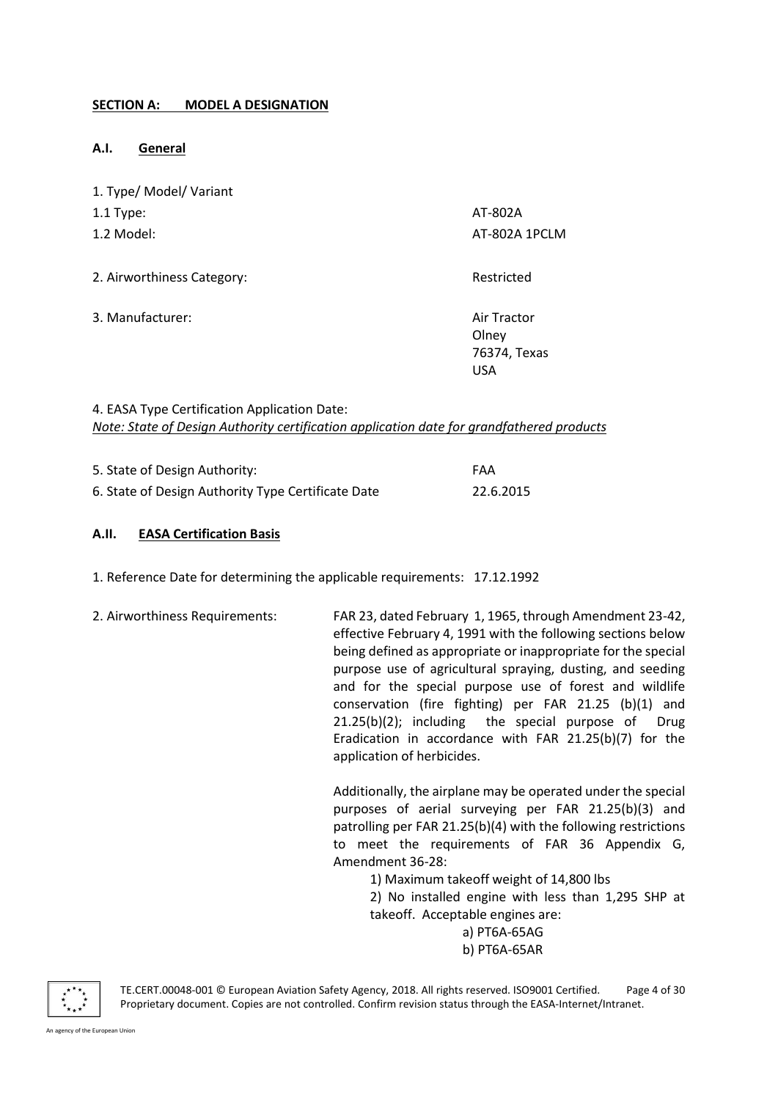## <span id="page-3-0"></span>**SECTION A: MODEL A DESIGNATION**

## <span id="page-3-1"></span>**A.I. General**

| 1. Type/ Model/ Variant    |               |
|----------------------------|---------------|
| $1.1$ Type:                | AT-802A       |
| 1.2 Model:                 | AT-802A 1PCLM |
| 2. Airworthiness Category: | Restricted    |
| 3. Manufacturer:           | Air Tractor   |
|                            | Olney         |
|                            | 76374, Texas  |
|                            | <b>USA</b>    |

4. EASA Type Certification Application Date: *Note: State of Design Authority certification application date for grandfathered products*

| 5. State of Design Authority:                      | FAA       |
|----------------------------------------------------|-----------|
| 6. State of Design Authority Type Certificate Date | 22.6.2015 |

## <span id="page-3-2"></span>**A.II. EASA Certification Basis**

1. Reference Date for determining the applicable requirements: 17.12.1992

2. Airworthiness Requirements: FAR 23, dated February 1, 1965, through Amendment 23-42, effective February 4, 1991 with the following sections below being defined as appropriate or inappropriate for the special purpose use of agricultural spraying, dusting, and seeding and for the special purpose use of forest and wildlife conservation (fire fighting) per FAR 21.25 (b)(1) and 21.25(b)(2); including the special purpose of Drug Eradication in accordance with FAR 21.25(b)(7) for the application of herbicides.

> Additionally, the airplane may be operated under the special purposes of aerial surveying per FAR 21.25(b)(3) and patrolling per FAR 21.25(b)(4) with the following restrictions to meet the requirements of FAR 36 Appendix G, Amendment 36-28:

> > 1) Maximum takeoff weight of 14,800 lbs

2) No installed engine with less than 1,295 SHP at takeoff. Acceptable engines are:

> a) PT6A-65AG b) PT6A-65AR



TE.CERT.00048-001 © European Aviation Safety Agency, 2018. All rights reserved. ISO9001 Certified. Page 4 of 30 Proprietary document. Copies are not controlled. Confirm revision status through the EASA-Internet/Intranet.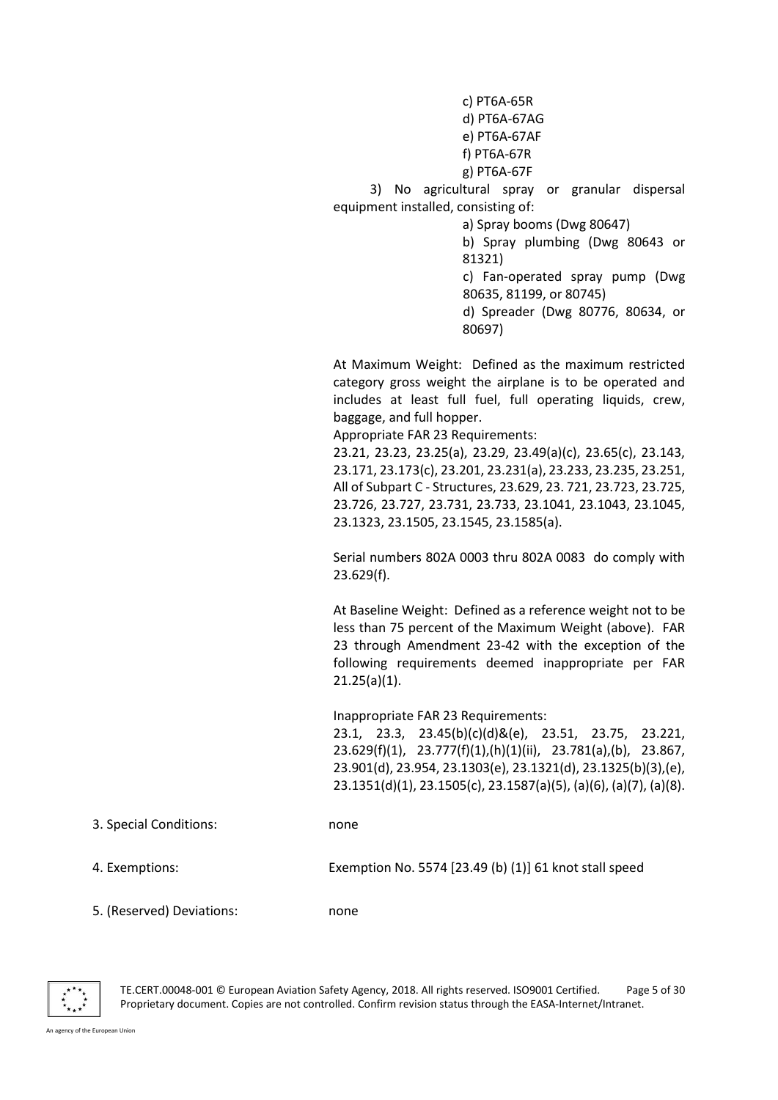|                           | c) PT6A-65R<br>d) PT6A-67AG<br>e) PT6A-67AF<br>f) PT6A-67R<br>g) PT6A-67F<br>3) No agricultural spray or granular dispersal<br>equipment installed, consisting of:<br>a) Spray booms (Dwg 80647)<br>b) Spray plumbing (Dwg 80643 or<br>81321)<br>c) Fan-operated spray pump (Dwg<br>80635, 81199, or 80745)<br>d) Spreader (Dwg 80776, 80634, or<br>80697)                                                                                                                                                                                                  |
|---------------------------|-------------------------------------------------------------------------------------------------------------------------------------------------------------------------------------------------------------------------------------------------------------------------------------------------------------------------------------------------------------------------------------------------------------------------------------------------------------------------------------------------------------------------------------------------------------|
|                           | At Maximum Weight: Defined as the maximum restricted<br>category gross weight the airplane is to be operated and<br>includes at least full fuel, full operating liquids, crew,<br>baggage, and full hopper.<br>Appropriate FAR 23 Requirements:<br>23.21, 23.23, 23.25(a), 23.29, 23.49(a)(c), 23.65(c), 23.143,<br>23.171, 23.173(c), 23.201, 23.231(a), 23.233, 23.235, 23.251,<br>All of Subpart C - Structures, 23.629, 23.721, 23.723, 23.725,<br>23.726, 23.727, 23.731, 23.733, 23.1041, 23.1043, 23.1045,<br>23.1323, 23.1505, 23.1545, 23.1585(a). |
|                           | Serial numbers 802A 0003 thru 802A 0083 do comply with<br>23.629(f).                                                                                                                                                                                                                                                                                                                                                                                                                                                                                        |
|                           | At Baseline Weight: Defined as a reference weight not to be<br>less than 75 percent of the Maximum Weight (above). FAR<br>23 through Amendment 23-42 with the exception of the<br>following requirements deemed inappropriate per FAR<br>$21.25(a)(1)$ .                                                                                                                                                                                                                                                                                                    |
|                           | Inappropriate FAR 23 Requirements:<br>23.1, 23.3, 23.45(b)(c)(d)&(e), 23.51, 23.75, 23.221,<br>23.629(f)(1), 23.777(f)(1),(h)(1)(ii), 23.781(a),(b), 23.867,<br>23.901(d), 23.954, 23.1303(e), 23.1321(d), 23.1325(b)(3),(e),<br>23.1351(d)(1), 23.1505(c), 23.1587(a)(5), (a)(6), (a)(7), (a)(8).                                                                                                                                                                                                                                                          |
| 3. Special Conditions:    | none                                                                                                                                                                                                                                                                                                                                                                                                                                                                                                                                                        |
| 4. Exemptions:            | Exemption No. 5574 [23.49 (b) (1)] 61 knot stall speed                                                                                                                                                                                                                                                                                                                                                                                                                                                                                                      |
| 5. (Reserved) Deviations: | none                                                                                                                                                                                                                                                                                                                                                                                                                                                                                                                                                        |



TE.CERT.00048-001 © European Aviation Safety Agency, 2018. All rights reserved. ISO9001 Certified. Page 5 of 30 Proprietary document. Copies are not controlled. Confirm revision status through the EASA-Internet/Intranet.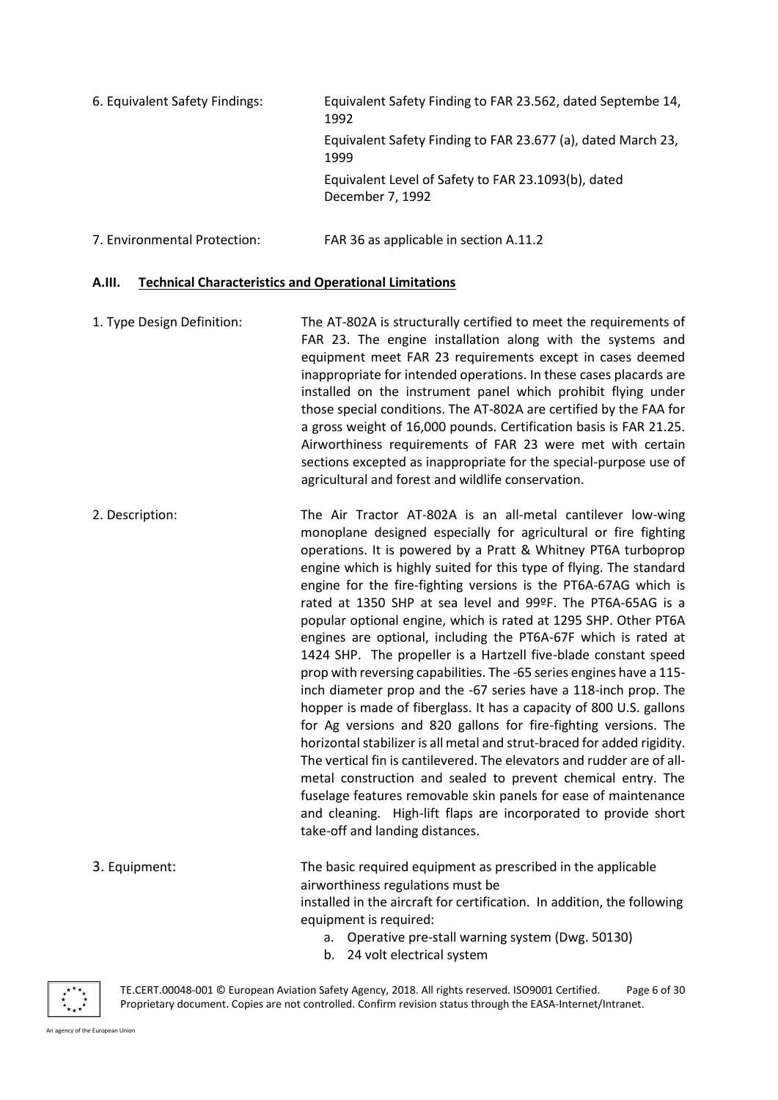| 6. Equivalent Safety Findings: | Equivalent Safety Finding to FAR 23.562, dated Septembe 14,<br>1992     |
|--------------------------------|-------------------------------------------------------------------------|
|                                | Equivalent Safety Finding to FAR 23.677 (a), dated March 23,<br>1999    |
|                                | Equivalent Level of Safety to FAR 23.1093(b), dated<br>December 7, 1992 |
| 7. Environmental Protection:   | FAR 36 as applicable in section A.11.2                                  |

## <span id="page-5-0"></span>**A.III. Technical Characteristics and Operational Limitations**

| 1. Type Design Definition: | The AT-802A is structurally certified to meet the requirements of<br>FAR 23. The engine installation along with the systems and |
|----------------------------|---------------------------------------------------------------------------------------------------------------------------------|
|                            | equipment meet FAR 23 requirements except in cases deemed                                                                       |
|                            | inappropriate for intended operations. In these cases placards are                                                              |
|                            | installed on the instrument panel which prohibit flying under                                                                   |
|                            | those special conditions. The AT-802A are certified by the FAA for                                                              |
|                            | a gross weight of 16,000 pounds. Certification basis is FAR 21.25.                                                              |
|                            | Airworthiness requirements of FAR 23 were met with certain                                                                      |
|                            | sections excepted as inappropriate for the special-purpose use of                                                               |
|                            | agricultural and forest and wildlife conservation.                                                                              |

2. Description: The Air Tractor AT-802A is an all-metal cantilever low-wing monoplane designed especially for agricultural or fire fighting operations. It is powered by a Pratt & Whitney PT6A turboprop engine which is highly suited for this type of flying. The standard engine for the fire-fighting versions is the PT6A-67AG which is rated at 1350 SHP at sea level and 99ºF. The PT6A-65AG is a popular optional engine, which is rated at 1295 SHP. Other PT6A engines are optional, including the PT6A-67F which is rated at 1424 SHP. The propeller is a Hartzell five-blade constant speed prop with reversing capabilities. The -65 series engines have a 115 inch diameter prop and the -67 series have a 118-inch prop. The hopper is made of fiberglass. It has a capacity of 800 U.S. gallons for Ag versions and 820 gallons for fire-fighting versions. The horizontal stabilizer is all metal and strut-braced for added rigidity. The vertical fin is cantilevered. The elevators and rudder are of allmetal construction and sealed to prevent chemical entry. The fuselage features removable skin panels for ease of maintenance and cleaning. High-lift flaps are incorporated to provide short take-off and landing distances.

| 3. Equipment: | The basic required equipment as prescribed in the applicable            |
|---------------|-------------------------------------------------------------------------|
|               | airworthiness regulations must be                                       |
|               | installed in the aircraft for certification. In addition, the following |
|               | equipment is required:                                                  |
|               | 2. Operative are stall warning system (Dwg E0120)                       |

- a. Operative pre-stall warning system (Dwg. 50130)
- b. 24 volt electrical system



TE.CERT.00048-001 © European Aviation Safety Agency, 2018. All rights reserved. ISO9001 Certified. Page 6 of 30 Proprietary document. Copies are not controlled. Confirm revision status through the EASA-Internet/Intranet.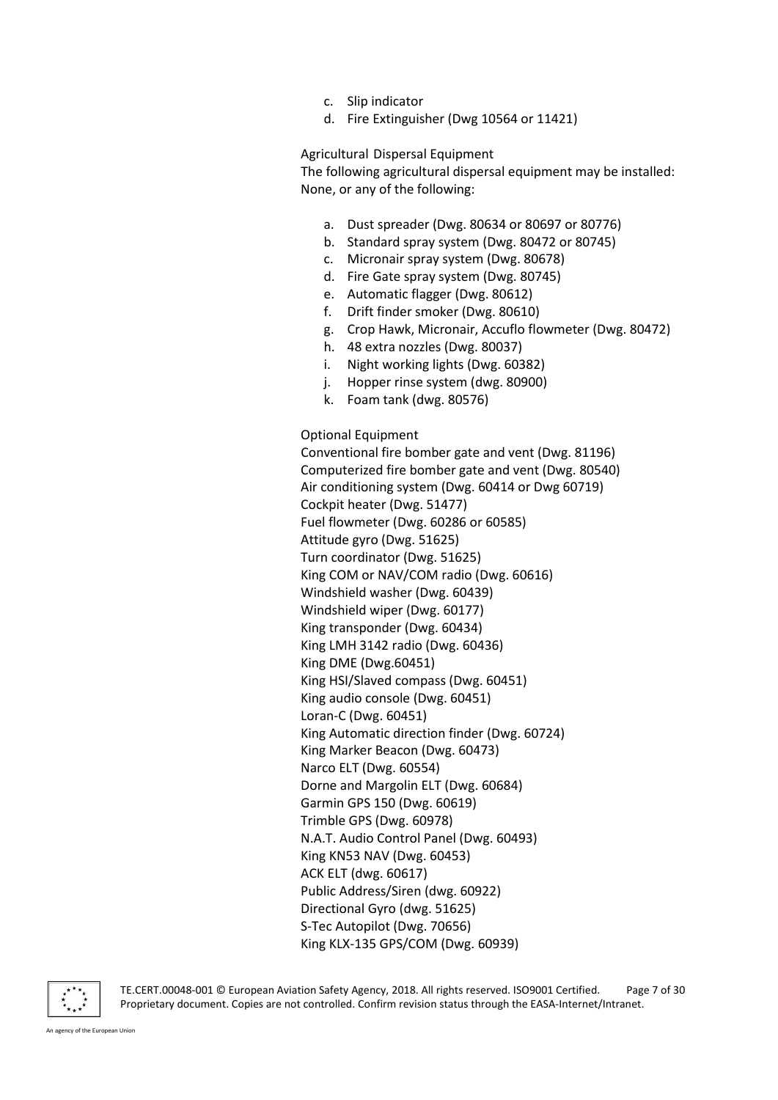- c. Slip indicator
- d. Fire Extinguisher (Dwg 10564 or 11421)

Agricultural Dispersal Equipment

The following agricultural dispersal equipment may be installed: None, or any of the following:

- a. Dust spreader (Dwg. 80634 or 80697 or 80776)
- b. Standard spray system (Dwg. 80472 or 80745)
- c. Micronair spray system (Dwg. 80678)
- d. Fire Gate spray system (Dwg. 80745)
- e. Automatic flagger (Dwg. 80612)
- f. Drift finder smoker (Dwg. 80610)
- g. Crop Hawk, Micronair, Accuflo flowmeter (Dwg. 80472)
- h. 48 extra nozzles (Dwg. 80037)
- i. Night working lights (Dwg. 60382)
- j. Hopper rinse system (dwg. 80900)
- k. Foam tank (dwg. 80576)

Optional Equipment

Conventional fire bomber gate and vent (Dwg. 81196) Computerized fire bomber gate and vent (Dwg. 80540) Air conditioning system (Dwg. 60414 or Dwg 60719) Cockpit heater (Dwg. 51477) Fuel flowmeter (Dwg. 60286 or 60585) Attitude gyro (Dwg. 51625) Turn coordinator (Dwg. 51625) King COM or NAV/COM radio (Dwg. 60616) Windshield washer (Dwg. 60439) Windshield wiper (Dwg. 60177) King transponder (Dwg. 60434) King LMH 3142 radio (Dwg. 60436) King DME (Dwg.60451) King HSI/Slaved compass (Dwg. 60451) King audio console (Dwg. 60451) Loran-C (Dwg. 60451) King Automatic direction finder (Dwg. 60724) King Marker Beacon (Dwg. 60473) Narco ELT (Dwg. 60554) Dorne and Margolin ELT (Dwg. 60684) Garmin GPS 150 (Dwg. 60619) Trimble GPS (Dwg. 60978) N.A.T. Audio Control Panel (Dwg. 60493) King KN53 NAV (Dwg. 60453) ACK ELT (dwg. 60617) Public Address/Siren (dwg. 60922) Directional Gyro (dwg. 51625) S-Tec Autopilot (Dwg. 70656) King KLX-135 GPS/COM (Dwg. 60939)

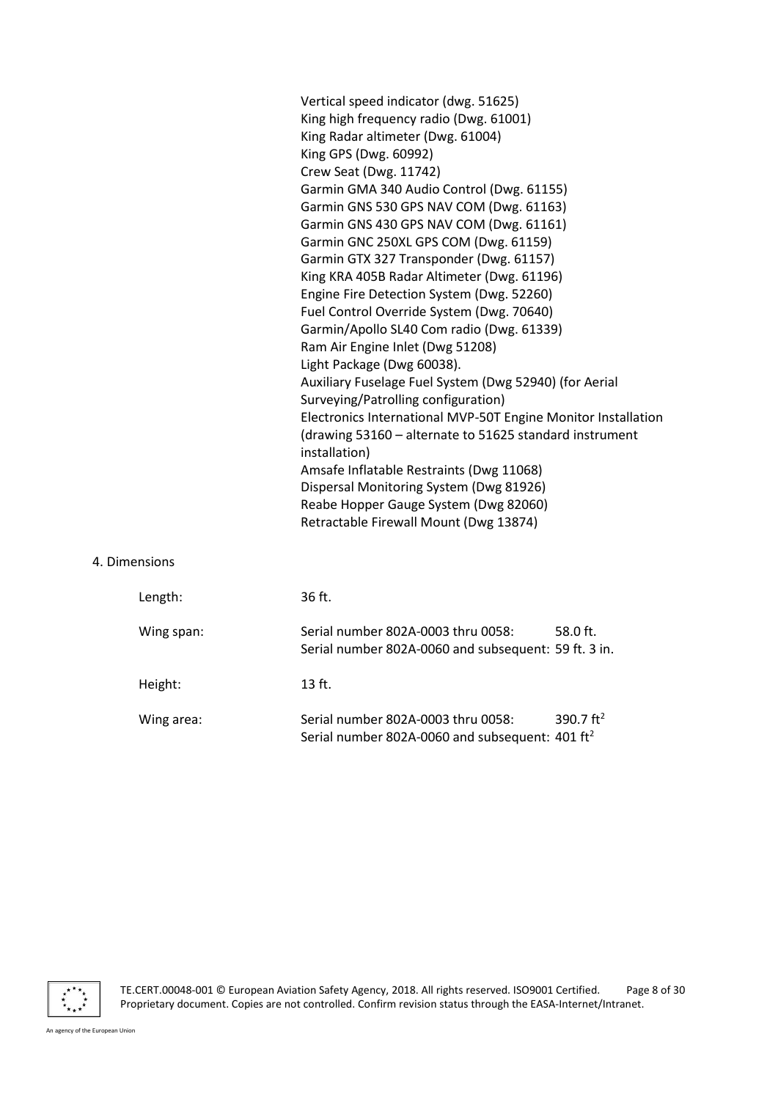|               |            | Vertical speed indicator (dwg. 51625)                         |
|---------------|------------|---------------------------------------------------------------|
|               |            | King high frequency radio (Dwg. 61001)                        |
|               |            | King Radar altimeter (Dwg. 61004)                             |
|               |            | King GPS (Dwg. 60992)                                         |
|               |            | Crew Seat (Dwg. 11742)                                        |
|               |            | Garmin GMA 340 Audio Control (Dwg. 61155)                     |
|               |            | Garmin GNS 530 GPS NAV COM (Dwg. 61163)                       |
|               |            | Garmin GNS 430 GPS NAV COM (Dwg. 61161)                       |
|               |            | Garmin GNC 250XL GPS COM (Dwg. 61159)                         |
|               |            | Garmin GTX 327 Transponder (Dwg. 61157)                       |
|               |            | King KRA 405B Radar Altimeter (Dwg. 61196)                    |
|               |            | Engine Fire Detection System (Dwg. 52260)                     |
|               |            | Fuel Control Override System (Dwg. 70640)                     |
|               |            | Garmin/Apollo SL40 Com radio (Dwg. 61339)                     |
|               |            | Ram Air Engine Inlet (Dwg 51208)                              |
|               |            | Light Package (Dwg 60038).                                    |
|               |            | Auxiliary Fuselage Fuel System (Dwg 52940) (for Aerial        |
|               |            | Surveying/Patrolling configuration)                           |
|               |            | Electronics International MVP-50T Engine Monitor Installation |
|               |            | (drawing 53160 - alternate to 51625 standard instrument       |
|               |            | installation)                                                 |
|               |            | Amsafe Inflatable Restraints (Dwg 11068)                      |
|               |            | Dispersal Monitoring System (Dwg 81926)                       |
|               |            | Reabe Hopper Gauge System (Dwg 82060)                         |
|               |            | Retractable Firewall Mount (Dwg 13874)                        |
|               |            |                                                               |
| 4. Dimensions |            |                                                               |
|               | Length:    | 36 ft.                                                        |
|               |            |                                                               |
|               | Wing span: | Serial number 802A-0003 thru 0058:<br>58.0 ft.                |
|               |            | Serial number 802A-0060 and subsequent: 59 ft. 3 in.          |
|               | Height:    | 13 ft.                                                        |
|               |            |                                                               |

Wing area: Serial number 802A-0003 thru 0058: 390.7 ft<sup>2</sup> Serial number 802A-0060 and subsequent: 401 ft<sup>2</sup>



TE.CERT.00048-001 © European Aviation Safety Agency, 2018. All rights reserved. ISO9001 Certified. Page 8 of 30 Proprietary document. Copies are not controlled. Confirm revision status through the EASA-Internet/Intranet.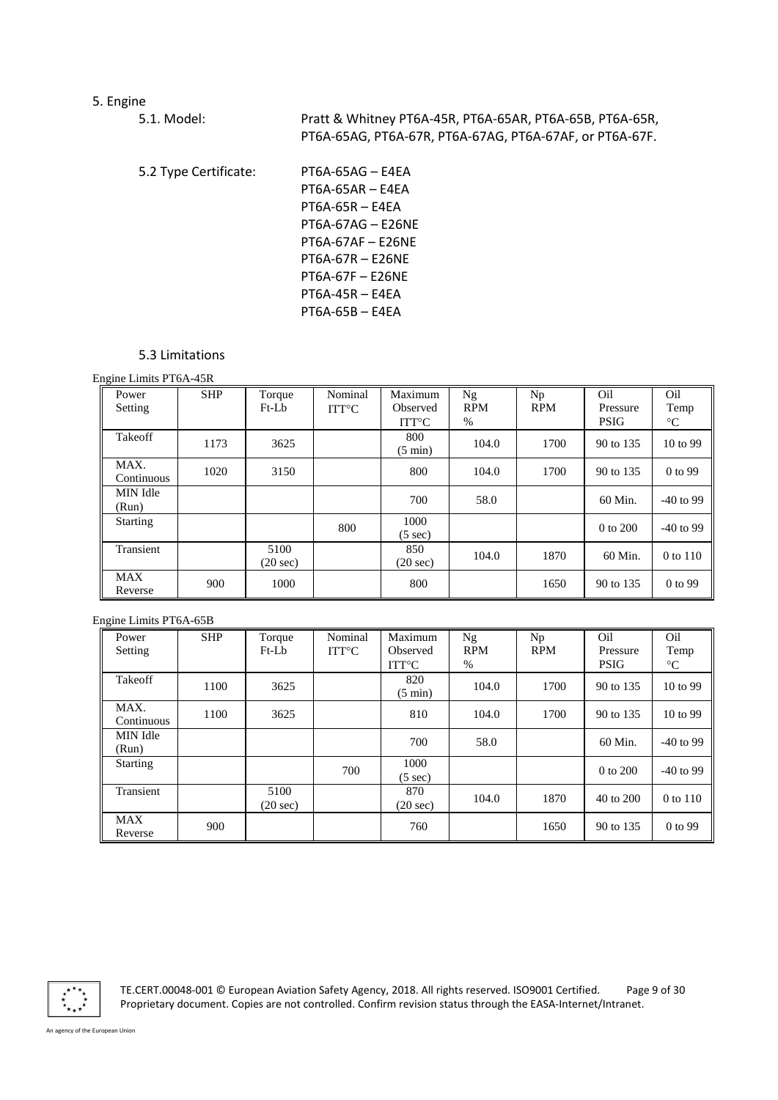## 5. Engine

5.1. Model: Pratt & Whitney PT6A-45R, PT6A-65AR, PT6A-65B, PT6A-65R, PT6A-65AG, PT6A-67R, PT6A-67AG, PT6A-67AF, or PT6A-67F.

5.2 Type Certificate: PT6A-65AG – E4EA PT6A-65AR – E4EA PT6A-65R – E4EA PT6A-67AG – E26NE PT6A-67AF – E26NE PT6A-67R – E26NE PT6A-67F – E26NE PT6A-45R – E4EA PT6A-65B – E4EA

#### 5.3 Limitations

Engine Limits PT6A-45R

| Power                 | <b>SHP</b> | Torque             | Nominal      | Maximum                   | Ng         | Np         | Oil         | Oil             |
|-----------------------|------------|--------------------|--------------|---------------------------|------------|------------|-------------|-----------------|
| Setting               |            | $Ft-Lb$            | <b>ITT°C</b> | Observed                  | <b>RPM</b> | <b>RPM</b> | Pressure    | Temp            |
|                       |            |                    |              | <b>ITT°C</b>              | %          |            | <b>PSIG</b> | $\rm ^{\circ}C$ |
| Takeoff               | 1173       | 3625               |              | 800<br>$(5 \text{ min})$  | 104.0      | 1700       | 90 to 135   | 10 to 99        |
| MAX.<br>Continuous    | 1020       | 3150               |              | 800                       | 104.0      | 1700       | 90 to 135   | 0 to 99         |
| MIN Idle              |            |                    |              | 700                       | 58.0       |            | 60 Min.     | $-40$ to 99     |
| (Run)                 |            |                    |              |                           |            |            |             |                 |
| <b>Starting</b>       |            |                    | 800          | 1000<br>$(5 \text{ sec})$ |            |            | 0 to 200    | $-40$ to 99     |
| Transient             |            | 5100               |              | 850                       | 104.0      | 1870       | 60 Min.     | 0 to 110        |
|                       |            | $(20 \text{ sec})$ |              | $(20 \text{ sec})$        |            |            |             |                 |
| <b>MAX</b><br>Reverse | 900        | 1000               |              | 800                       |            | 1650       | 90 to 135   | 0 to 99         |

#### Engine Limits PT6A-65B

| Power                 | <b>SHP</b> | Torque             | Nominal      | Maximum                  | <b>Ng</b>  | Np         | Oil                  | Oil             |
|-----------------------|------------|--------------------|--------------|--------------------------|------------|------------|----------------------|-----------------|
| Setting               |            | Ft-Lb              | <b>ITT°C</b> | Observed                 | <b>RPM</b> | <b>RPM</b> | Pressure             | Temp            |
|                       |            |                    |              | <b>ITT°C</b>             | %          |            | <b>PSIG</b>          | $\rm ^{\circ}C$ |
| Takeoff               | 1100       | 3625               |              | 820<br>$(5 \text{ min})$ | 104.0      | 1700       | 90 to 135            | 10 to 99        |
| MAX.                  | 1100       | 3625               |              | 810                      | 104.0      | 1700       | 90 to 135            | 10 to 99        |
| Continuous            |            |                    |              |                          |            |            |                      |                 |
| <b>MIN</b> Idle       |            |                    |              | 700                      | 58.0       |            | 60 Min.              | $-40$ to 99     |
| (Run)                 |            |                    |              |                          |            |            |                      |                 |
| <b>Starting</b>       |            |                    | 700          | 1000                     |            |            | 0 to 200             | $-40$ to 99     |
|                       |            |                    |              | $(5 \text{ sec})$        |            |            |                      |                 |
| Transient             |            | 5100               |              | 870                      | 104.0      | 1870       | $40 \text{ to } 200$ | 0 to 110        |
|                       |            | $(20 \text{ sec})$ |              | $(20 \text{ sec})$       |            |            |                      |                 |
| <b>MAX</b><br>Reverse | 900        |                    |              | 760                      |            | 1650       | 90 to 135            | 0 to 99         |



TE.CERT.00048-001 © European Aviation Safety Agency, 2018. All rights reserved. ISO9001 Certified. Page 9 of 30 Proprietary document. Copies are not controlled. Confirm revision status through the EASA-Internet/Intranet.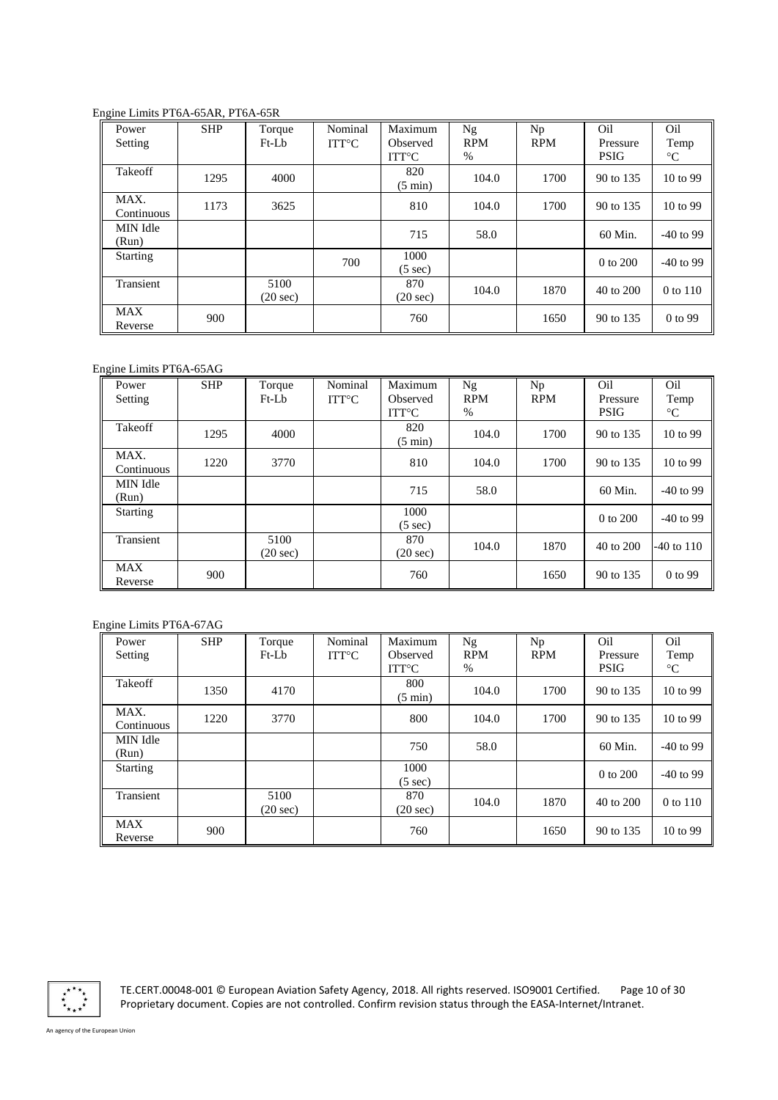#### Engine Limits PT6A-65AR, PT6A-65R

| Power<br>Setting      | <b>SHP</b> | Torque<br>$Ft-Lb$          | Nominal<br><b>ITT<sup>o</sup>C</b> | Maximum<br>Observed       | Ng<br><b>RPM</b> | Np<br><b>RPM</b> | Oil<br>Pressure | Oil<br>Temp     |
|-----------------------|------------|----------------------------|------------------------------------|---------------------------|------------------|------------------|-----------------|-----------------|
|                       |            |                            |                                    | <b>ITT°C</b>              | $\%$             |                  | <b>PSIG</b>     | $\rm ^{\circ}C$ |
| Takeoff               | 1295       | 4000                       |                                    | 820<br>$(5 \text{ min})$  | 104.0            | 1700             | 90 to 135       | 10 to 99        |
| MAX.<br>Continuous    | 1173       | 3625                       |                                    | 810                       | 104.0            | 1700             | 90 to 135       | 10 to 99        |
| MIN Idle<br>(Run)     |            |                            |                                    | 715                       | 58.0             |                  | 60 Min.         | $-40$ to 99     |
| <b>Starting</b>       |            |                            | 700                                | 1000<br>$(5 \text{ sec})$ |                  |                  | $0$ to $200$    | $-40$ to 99     |
| Transient             |            | 5100<br>$(20 \text{ sec})$ |                                    | 870<br>$(20 \text{ sec})$ | 104.0            | 1870             | 40 to 200       | 0 to 110        |
| <b>MAX</b><br>Reverse | 900        |                            |                                    | 760                       |                  | 1650             | 90 to 135       | 0 to 99         |

#### Engine Limits PT6A-65AG

| Power                 | <b>SHP</b> | Torque             | Nominal      | Maximum                  | Ng         | Np         | Oil          | Oil             |
|-----------------------|------------|--------------------|--------------|--------------------------|------------|------------|--------------|-----------------|
| Setting               |            | Ft-Lb              | <b>ITT°C</b> | Observed                 | <b>RPM</b> | <b>RPM</b> | Pressure     | Temp            |
|                       |            |                    |              | <b>ITT<sup>o</sup>C</b>  | %          |            | <b>PSIG</b>  | $\rm ^{\circ}C$ |
| Takeoff               | 1295       | 4000               |              | 820<br>$(5 \text{ min})$ | 104.0      | 1700       | 90 to 135    | 10 to 99        |
| MAX.                  | 1220       | 3770               |              | 810                      | 104.0      | 1700       | 90 to 135    | 10 to 99        |
| Continuous            |            |                    |              |                          |            |            |              |                 |
| <b>MIN</b> Idle       |            |                    |              | 715                      | 58.0       |            | 60 Min.      | $-40$ to 99     |
| (Run)                 |            |                    |              |                          |            |            |              |                 |
| <b>Starting</b>       |            |                    |              | 1000                     |            |            | $0$ to $200$ | $-40$ to 99     |
|                       |            |                    |              | $(5 \text{ sec})$        |            |            |              |                 |
| Transient             |            | 5100               |              | 870                      | 104.0      | 1870       | 40 to 200    | $-40$ to $110$  |
|                       |            | $(20 \text{ sec})$ |              | $(20 \text{ sec})$       |            |            |              |                 |
| <b>MAX</b><br>Reverse | 900        |                    |              | 760                      |            | 1650       | 90 to 135    | 0 to 99         |

#### Engine Limits PT6A-67AG

| Power<br>Setting         | <b>SHP</b> | Torque<br>$Ft-Lb$          | Nominal<br><b>ITT°C</b> | Maximum<br>Observed<br><b>ITT°C</b> | Ng<br><b>RPM</b><br>% | Np<br><b>RPM</b> | Oil<br>Pressure<br><b>PSIG</b> | Oil<br>Temp<br>$\rm ^{\circ}C$ |
|--------------------------|------------|----------------------------|-------------------------|-------------------------------------|-----------------------|------------------|--------------------------------|--------------------------------|
| Takeoff                  | 1350       | 4170                       |                         | 800<br>$(5 \text{ min})$            | 104.0                 | 1700             | 90 to 135                      | 10 to 99                       |
| MAX.<br>Continuous       | 1220       | 3770                       |                         | 800                                 | 104.0                 | 1700             | 90 to 135                      | 10 to 99                       |
| <b>MIN</b> Idle<br>(Run) |            |                            |                         | 750                                 | 58.0                  |                  | 60 Min.                        | $-40$ to 99                    |
| <b>Starting</b>          |            |                            |                         | 1000<br>$(5 \text{ sec})$           |                       |                  | 0 to 200                       | $-40$ to 99                    |
| Transient                |            | 5100<br>$(20 \text{ sec})$ |                         | 870<br>$(20 \text{ sec})$           | 104.0                 | 1870             | 40 to 200                      | 0 to 110                       |
| <b>MAX</b><br>Reverse    | 900        |                            |                         | 760                                 |                       | 1650             | 90 to 135                      | 10 to 99                       |



TE.CERT.00048-001 © European Aviation Safety Agency, 2018. All rights reserved. ISO9001 Certified. Page 10 of 30 Proprietary document. Copies are not controlled. Confirm revision status through the EASA-Internet/Intranet.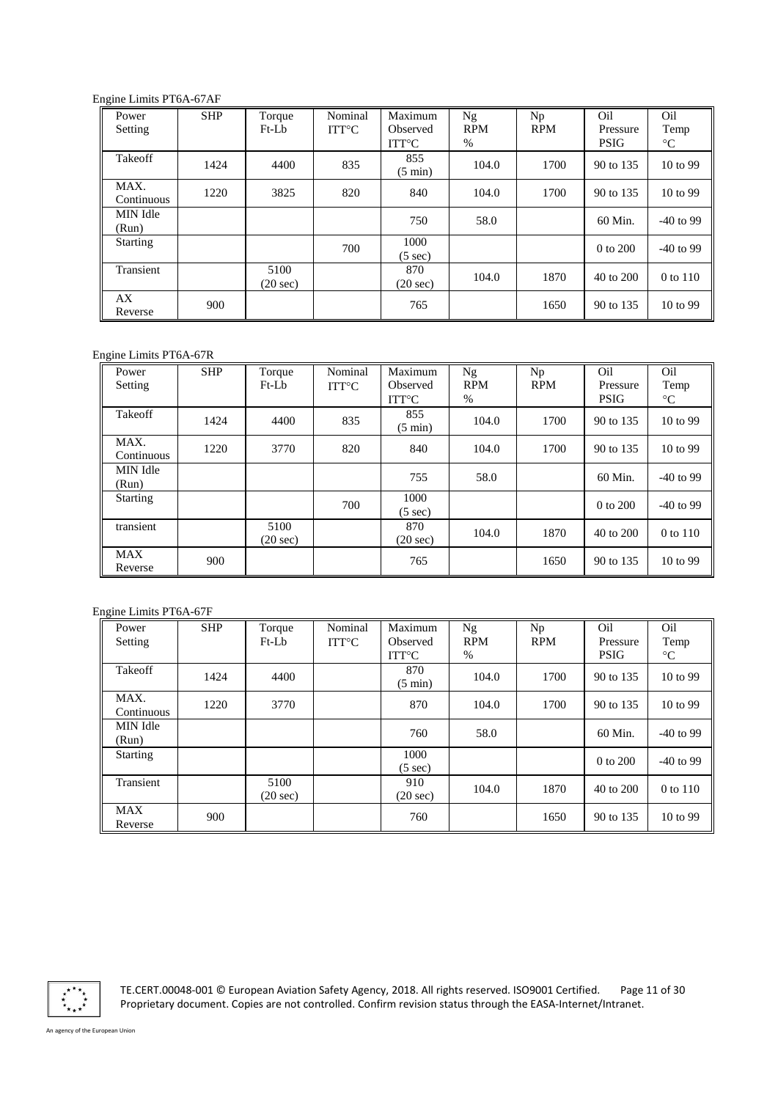Engine Limits PT6A-67AF

| $\circ$<br>Power   | <b>SHP</b> | Torque                     | Nominal                 | Maximum                   | <b>Ng</b>  | Np         | Oil         | Oil             |
|--------------------|------------|----------------------------|-------------------------|---------------------------|------------|------------|-------------|-----------------|
| Setting            |            | $Ft-Lb$                    | <b>ITT<sup>o</sup>C</b> | Observed                  | <b>RPM</b> | <b>RPM</b> | Pressure    | Temp            |
|                    |            |                            |                         | <b>ITT°C</b>              | $\%$       |            | <b>PSIG</b> | $\rm ^{\circ}C$ |
| Takeoff            | 1424       | 4400                       | 835                     | 855<br>$(5 \text{ min})$  | 104.0      | 1700       | 90 to 135   | 10 to 99        |
| MAX.<br>Continuous | 1220       | 3825                       | 820                     | 840                       | 104.0      | 1700       | 90 to 135   | 10 to 99        |
| MIN Idle<br>(Run)  |            |                            |                         | 750                       | 58.0       |            | 60 Min.     | $-40$ to 99     |
| <b>Starting</b>    |            |                            | 700                     | 1000<br>$(5 \text{ sec})$ |            |            | 0 to 200    | $-40$ to 99     |
| Transient          |            | 5100<br>$(20 \text{ sec})$ |                         | 870<br>$(20 \text{ sec})$ | 104.0      | 1870       | 40 to 200   | 0 to 110        |
| AX<br>Reverse      | 900        |                            |                         | 765                       |            | 1650       | 90 to 135   | 10 to 99        |

#### Engine Limits PT6A-67R

| J<br>Power<br>Setting | <b>SHP</b> | Torque<br>Ft-Lb            | Nominal<br><b>ITT°C</b> | Maximum<br>Observed       | Ng<br><b>RPM</b> | Np<br><b>RPM</b> | Oil<br>Pressure      | Oil<br>Temp     |
|-----------------------|------------|----------------------------|-------------------------|---------------------------|------------------|------------------|----------------------|-----------------|
|                       |            |                            |                         | <b>ITT°C</b>              | %                |                  | <b>PSIG</b>          | $\rm ^{\circ}C$ |
| Takeoff               | 1424       | 4400                       | 835                     | 855<br>$(5 \text{ min})$  | 104.0            | 1700             | 90 to 135            | 10 to 99        |
| MAX.<br>Continuous    | 1220       | 3770                       | 820                     | 840                       | 104.0            | 1700             | 90 to 135            | 10 to 99        |
| MIN Idle<br>(Run)     |            |                            |                         | 755                       | 58.0             |                  | 60 Min.              | $-40$ to 99     |
| <b>Starting</b>       |            |                            | 700                     | 1000<br>$(5 \text{ sec})$ |                  |                  | $0$ to $200$         | $-40$ to 99     |
| transient             |            | 5100<br>$(20 \text{ sec})$ |                         | 870<br>$(20 \text{ sec})$ | 104.0            | 1870             | $40 \text{ to } 200$ | 0 to 110        |
| <b>MAX</b><br>Reverse | 900        |                            |                         | 765                       |                  | 1650             | 90 to 135            | 10 to 99        |

## Engine Limits PT6A-67F

| Power<br>Setting         | <b>SHP</b> | Torque<br>Ft-Lb            | Nominal<br><b>ITT°C</b> | Maximum<br>Observed       | <b>Ng</b><br><b>RPM</b> | Np<br><b>RPM</b> | Oil<br>Pressure      | Oil<br>Temp |
|--------------------------|------------|----------------------------|-------------------------|---------------------------|-------------------------|------------------|----------------------|-------------|
|                          |            |                            |                         | <b>ITT°C</b>              | %                       |                  | <b>PSIG</b>          | $^{\circ}C$ |
| Takeoff                  | 1424       | 4400                       |                         | 870<br>$(5 \text{ min})$  | 104.0                   | 1700             | 90 to 135            | 10 to 99    |
| MAX.<br>Continuous       | 1220       | 3770                       |                         | 870                       | 104.0                   | 1700             | 90 to 135            | 10 to 99    |
| <b>MIN</b> Idle<br>(Run) |            |                            |                         | 760                       | 58.0                    |                  | 60 Min.              | $-40$ to 99 |
| <b>Starting</b>          |            |                            |                         | 1000<br>$(5 \text{ sec})$ |                         |                  | $0$ to $200$         | $-40$ to 99 |
| Transient                |            | 5100<br>$(20 \text{ sec})$ |                         | 910<br>$(20 \text{ sec})$ | 104.0                   | 1870             | $40 \text{ to } 200$ | 0 to 110    |
| <b>MAX</b><br>Reverse    | 900        |                            |                         | 760                       |                         | 1650             | 90 to 135            | 10 to 99    |



TE.CERT.00048-001 © European Aviation Safety Agency, 2018. All rights reserved. ISO9001 Certified. Page 11 of 30 Proprietary document. Copies are not controlled. Confirm revision status through the EASA-Internet/Intranet.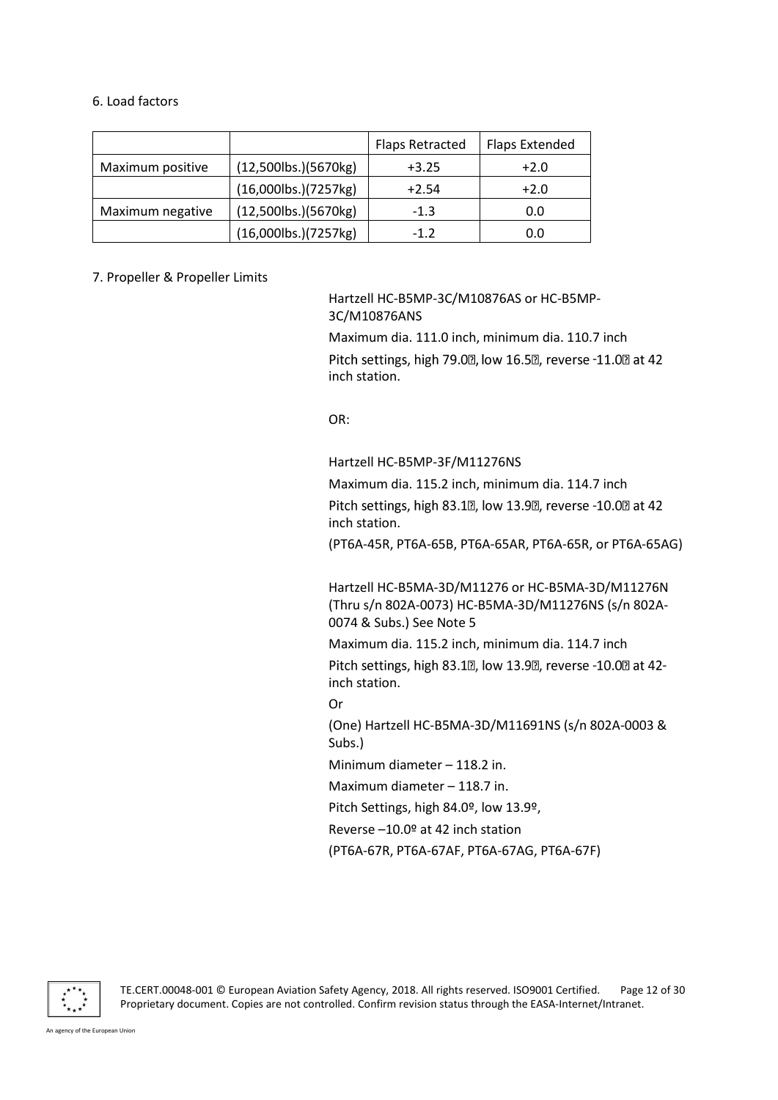## 6. Load factors

|                  |                             | <b>Flaps Retracted</b> | Flaps Extended |
|------------------|-----------------------------|------------------------|----------------|
| Maximum positive | $(12,500$ lbs. $)(5670$ kg) | $+3.25$                | $+2.0$         |
|                  | $(16,000$ lbs. $)(7257$ kg) | $+2.54$                | $+2.0$         |
| Maximum negative | $(12,500$ lbs. $)(5670$ kg) | $-1.3$                 | 0.0            |
|                  | (16,000lbs.)(7257kg)        | $-1.2$                 | 0.0            |

7. Propeller & Propeller Limits

Hartzell HC-B5MP-3C/M10876AS or HC-B5MP-3C/M10876ANS

Maximum dia. 111.0 inch, minimum dia. 110.7 inch Pitch settings, high 79.02, low 16.52, reverse -11.02 at 42 inch station.

OR:

Hartzell HC-B5MP-3F/M11276NS Maximum dia. 115.2 inch, minimum dia. 114.7 inch Pitch settings, high 83.1<sup>[2]</sup>, low 13.9<sup>[2]</sup>, reverse -10.0<sup>[2]</sup> at 42 inch station. (PT6A-45R, PT6A-65B, PT6A-65AR, PT6A-65R, or PT6A-65AG)

Hartzell HC-B5MA-3D/M11276 or HC-B5MA-3D/M11276N (Thru s/n 802A-0073) HC-B5MA-3D/M11276NS (s/n 802A-0074 & Subs.) See Note 5

Maximum dia. 115.2 inch, minimum dia. 114.7 inch Pitch settings, high 83.1<sup>[2]</sup>, low 13.9<sup>[2]</sup>, reverse -10.0<sup>[2]</sup> at 42inch station.

Or

(One) Hartzell HC-B5MA-3D/M11691NS (s/n 802A-0003 & Subs.)

Minimum diameter – 118.2 in.

Maximum diameter – 118.7 in.

Pitch Settings, high 84.0º, low 13.9º,

Reverse –10.0º at 42 inch station

(PT6A-67R, PT6A-67AF, PT6A-67AG, PT6A-67F)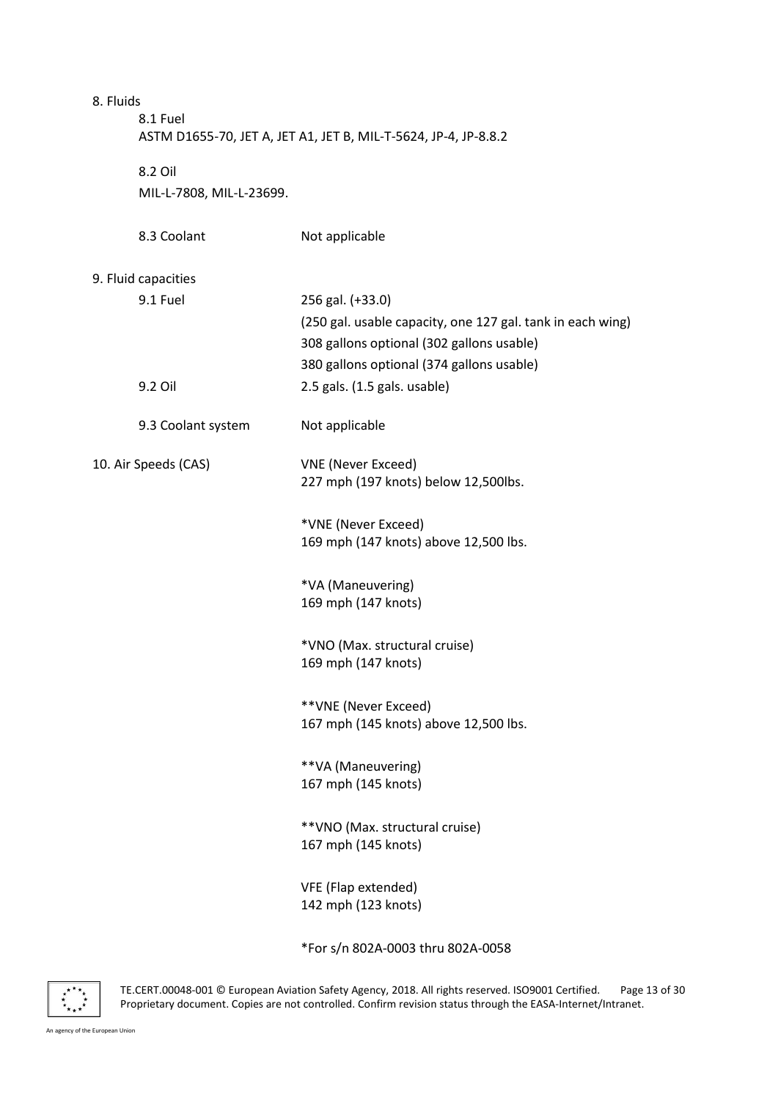# 8. Fluids

| 8.1 Fuel                 | ASTM D1655-70, JET A, JET A1, JET B, MIL-T-5624, JP-4, JP-8.8.2                                                                                                          |
|--------------------------|--------------------------------------------------------------------------------------------------------------------------------------------------------------------------|
| 8.2 Oil                  |                                                                                                                                                                          |
| MIL-L-7808, MIL-L-23699. |                                                                                                                                                                          |
| 8.3 Coolant              | Not applicable                                                                                                                                                           |
| 9. Fluid capacities      |                                                                                                                                                                          |
| 9.1 Fuel                 | 256 gal. (+33.0)<br>(250 gal. usable capacity, one 127 gal. tank in each wing)<br>308 gallons optional (302 gallons usable)<br>380 gallons optional (374 gallons usable) |
| 9.2 Oil                  | 2.5 gals. (1.5 gals. usable)                                                                                                                                             |
| 9.3 Coolant system       | Not applicable                                                                                                                                                           |
| 10. Air Speeds (CAS)     | <b>VNE</b> (Never Exceed)<br>227 mph (197 knots) below 12,500lbs.                                                                                                        |
|                          | *VNE (Never Exceed)<br>169 mph (147 knots) above 12,500 lbs.                                                                                                             |
|                          | *VA (Maneuvering)<br>169 mph (147 knots)                                                                                                                                 |
|                          | *VNO (Max. structural cruise)<br>169 mph (147 knots)                                                                                                                     |
|                          | **VNE (Never Exceed)<br>167 mph (145 knots) above 12,500 lbs.                                                                                                            |
|                          | **VA (Maneuvering)<br>167 mph (145 knots)                                                                                                                                |
|                          | **VNO (Max. structural cruise)<br>167 mph (145 knots)                                                                                                                    |
|                          | VFE (Flap extended)<br>142 mph (123 knots)                                                                                                                               |
|                          |                                                                                                                                                                          |

\*For s/n 802A-0003 thru 802A-0058



TE.CERT.00048-001 © European Aviation Safety Agency, 2018. All rights reserved. ISO9001 Certified. Page 13 of 30 Proprietary document. Copies are not controlled. Confirm revision status through the EASA-Internet/Intranet.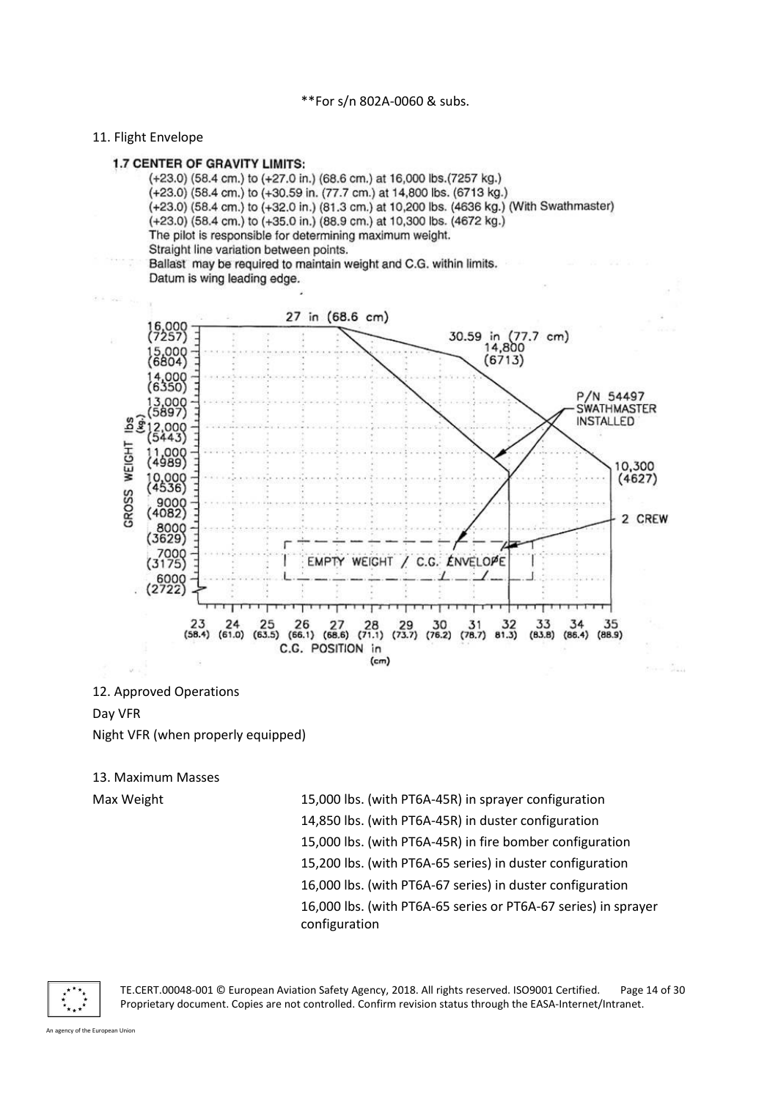#### 11. Flight Envelope

#### 1.7 CENTER OF GRAVITY LIMITS:

(+23.0) (58.4 cm.) to (+27.0 in.) (68.6 cm.) at 16,000 lbs.(7257 kg.) (+23.0) (58.4 cm.) to (+30.59 in. (77.7 cm.) at 14,800 lbs. (6713 kg.) (+23.0) (58.4 cm.) to (+32.0 in.) (81.3 cm.) at 10,200 lbs. (4636 kg.) (With Swathmaster) (+23.0) (58.4 cm.) to (+35.0 in.) (88.9 cm.) at 10,300 lbs. (4672 kg.) The pilot is responsible for determining maximum weight. Straight line variation between points. Ballast may be required to maintain weight and C.G. within limits. Datum is wing leading edge.





12. Approved Operations

#### Day VFR

Night VFR (when properly equipped)

#### 13. Maximum Masses

Max Weight 15,000 lbs. (with PT6A-45R) in sprayer configuration 14,850 lbs. (with PT6A-45R) in duster configuration 15,000 lbs. (with PT6A-45R) in fire bomber configuration 15,200 lbs. (with PT6A-65 series) in duster configuration 16,000 lbs. (with PT6A-67 series) in duster configuration 16,000 lbs. (with PT6A-65 series or PT6A-67 series) in sprayer configuration



TE.CERT.00048-001 © European Aviation Safety Agency, 2018. All rights reserved. ISO9001 Certified. Page 14 of 30 Proprietary document. Copies are not controlled. Confirm revision status through the EASA-Internet/Intranet.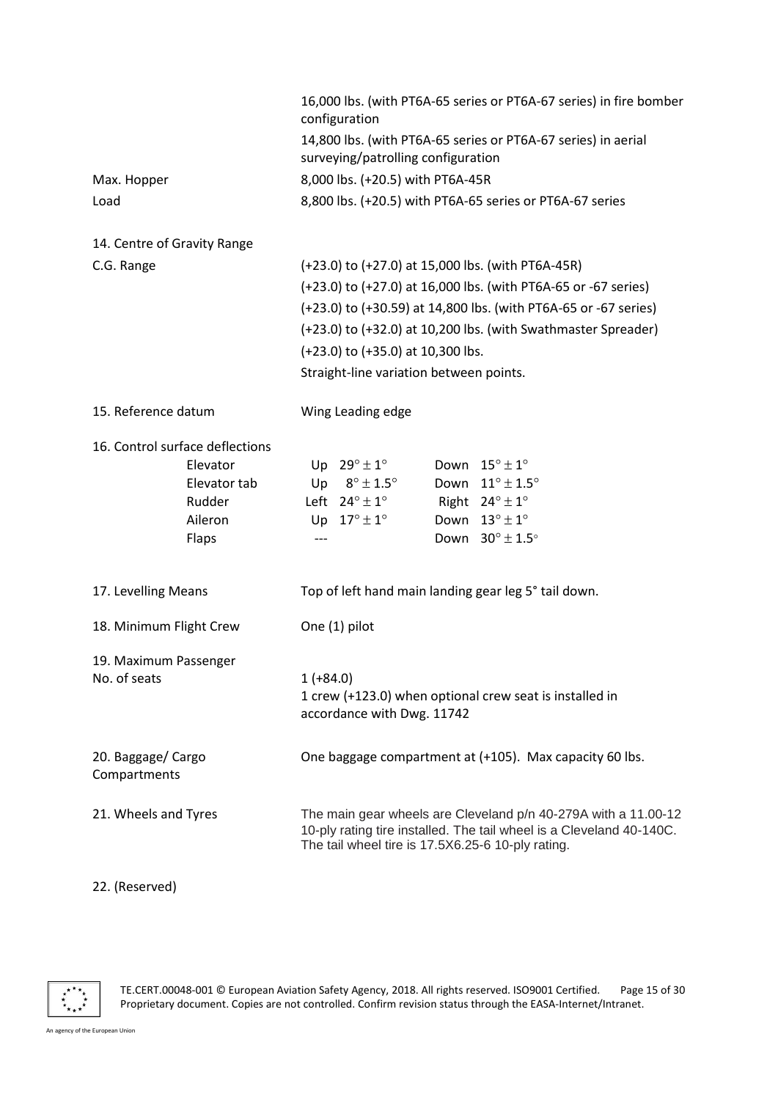|                                       |              | 16,000 lbs. (with PT6A-65 series or PT6A-67 series) in fire bomber<br>configuration<br>14,800 lbs. (with PT6A-65 series or PT6A-67 series) in aerial<br>surveying/patrolling configuration  |                                         |      |                                                                 |  |  |
|---------------------------------------|--------------|---------------------------------------------------------------------------------------------------------------------------------------------------------------------------------------------|-----------------------------------------|------|-----------------------------------------------------------------|--|--|
| Max. Hopper                           |              | 8,000 lbs. (+20.5) with PT6A-45R                                                                                                                                                            |                                         |      |                                                                 |  |  |
| Load                                  |              |                                                                                                                                                                                             |                                         |      |                                                                 |  |  |
|                                       |              | 8,800 lbs. (+20.5) with PT6A-65 series or PT6A-67 series                                                                                                                                    |                                         |      |                                                                 |  |  |
| 14. Centre of Gravity Range           |              |                                                                                                                                                                                             |                                         |      |                                                                 |  |  |
| C.G. Range                            |              |                                                                                                                                                                                             |                                         |      | (+23.0) to (+27.0) at 15,000 lbs. (with PT6A-45R)               |  |  |
|                                       |              |                                                                                                                                                                                             |                                         |      | (+23.0) to (+27.0) at 16,000 lbs. (with PT6A-65 or -67 series)  |  |  |
|                                       |              |                                                                                                                                                                                             |                                         |      | (+23.0) to (+30.59) at 14,800 lbs. (with PT6A-65 or -67 series) |  |  |
|                                       |              |                                                                                                                                                                                             |                                         |      | (+23.0) to (+32.0) at 10,200 lbs. (with Swathmaster Spreader)   |  |  |
|                                       |              |                                                                                                                                                                                             | (+23.0) to (+35.0) at 10,300 lbs.       |      |                                                                 |  |  |
|                                       |              |                                                                                                                                                                                             |                                         |      |                                                                 |  |  |
|                                       |              |                                                                                                                                                                                             | Straight-line variation between points. |      |                                                                 |  |  |
| 15. Reference datum                   |              |                                                                                                                                                                                             | Wing Leading edge                       |      |                                                                 |  |  |
| 16. Control surface deflections       |              |                                                                                                                                                                                             |                                         |      |                                                                 |  |  |
|                                       | Elevator     |                                                                                                                                                                                             | Up $29^\circ \pm 1^\circ$               | Down | $15^{\circ} \pm 1^{\circ}$                                      |  |  |
|                                       | Elevator tab |                                                                                                                                                                                             | Up $8^\circ \pm 1.5^\circ$              |      | Down $11^{\circ} \pm 1.5^{\circ}$                               |  |  |
|                                       | Rudder       |                                                                                                                                                                                             | Left $24^{\circ} \pm 1^{\circ}$         |      | Right $24^{\circ} \pm 1^{\circ}$                                |  |  |
|                                       | Aileron      |                                                                                                                                                                                             | Up $17^{\circ} \pm 1^{\circ}$           |      | Down $13^{\circ} \pm 1^{\circ}$                                 |  |  |
|                                       | Flaps        |                                                                                                                                                                                             |                                         |      | Down $30^{\circ} \pm 1.5^{\circ}$                               |  |  |
| 17. Levelling Means                   |              |                                                                                                                                                                                             |                                         |      | Top of left hand main landing gear leg 5° tail down.            |  |  |
| 18. Minimum Flight Crew               |              |                                                                                                                                                                                             | One (1) pilot                           |      |                                                                 |  |  |
|                                       |              |                                                                                                                                                                                             |                                         |      |                                                                 |  |  |
| 19. Maximum Passenger<br>No. of seats |              | $1 (+84.0)$<br>1 crew (+123.0) when optional crew seat is installed in<br>accordance with Dwg. 11742                                                                                        |                                         |      |                                                                 |  |  |
| 20. Baggage/ Cargo<br>Compartments    |              | One baggage compartment at (+105). Max capacity 60 lbs.                                                                                                                                     |                                         |      |                                                                 |  |  |
| 21. Wheels and Tyres                  |              | The main gear wheels are Cleveland p/n 40-279A with a 11.00-12<br>10-ply rating tire installed. The tail wheel is a Cleveland 40-140C.<br>The tail wheel tire is 17.5X6.25-6 10-ply rating. |                                         |      |                                                                 |  |  |
| 22. (Reserved)                        |              |                                                                                                                                                                                             |                                         |      |                                                                 |  |  |



TE.CERT.00048-001 © European Aviation Safety Agency, 2018. All rights reserved. ISO9001 Certified. Page 15 of 30 Proprietary document. Copies are not controlled. Confirm revision status through the EASA-Internet/Intranet.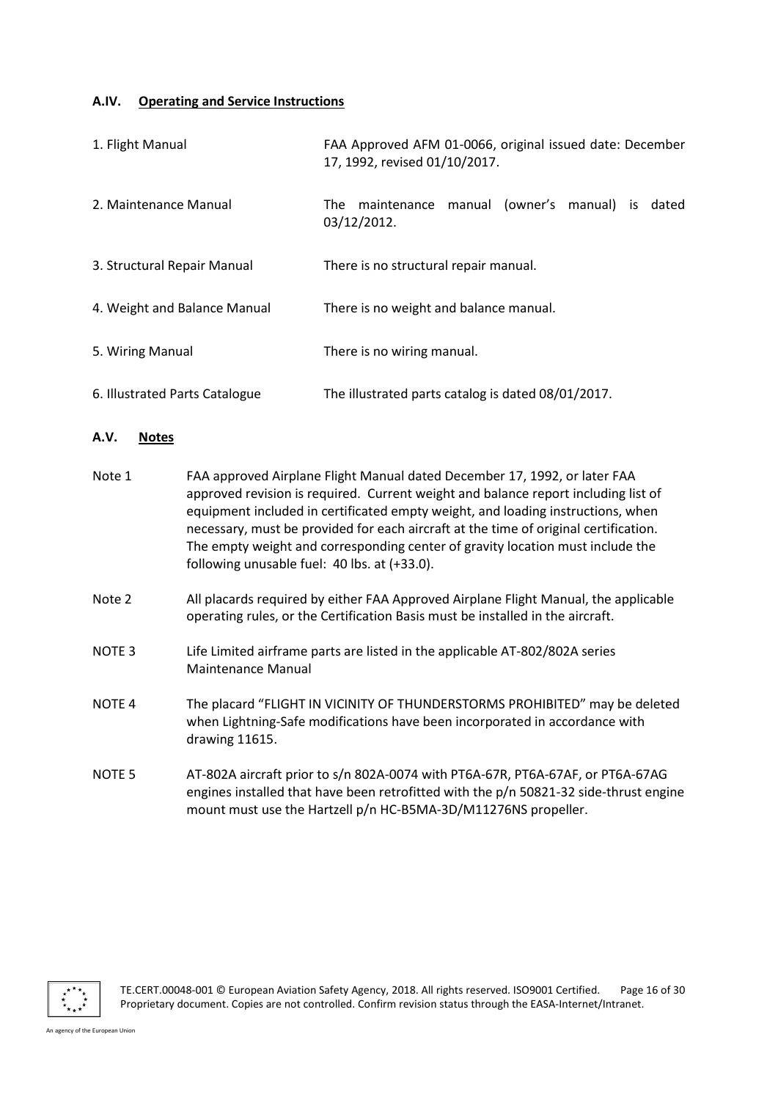## **A.IV. Operating and Service Instructions**

| 1. Flight Manual               | FAA Approved AFM 01-0066, original issued date: December<br>17, 1992, revised 01/10/2017. |
|--------------------------------|-------------------------------------------------------------------------------------------|
| 2. Maintenance Manual          | manual (owner's manual) is<br>The maintenance<br>dated<br>03/12/2012.                     |
| 3. Structural Repair Manual    | There is no structural repair manual.                                                     |
| 4. Weight and Balance Manual   | There is no weight and balance manual.                                                    |
| 5. Wiring Manual               | There is no wiring manual.                                                                |
| 6. Illustrated Parts Catalogue | The illustrated parts catalog is dated 08/01/2017.                                        |

# <span id="page-15-0"></span>**A.V. Notes**

| Note 1            | FAA approved Airplane Flight Manual dated December 17, 1992, or later FAA<br>approved revision is required. Current weight and balance report including list of<br>equipment included in certificated empty weight, and loading instructions, when<br>necessary, must be provided for each aircraft at the time of original certification.<br>The empty weight and corresponding center of gravity location must include the<br>following unusable fuel: 40 lbs. at (+33.0). |
|-------------------|------------------------------------------------------------------------------------------------------------------------------------------------------------------------------------------------------------------------------------------------------------------------------------------------------------------------------------------------------------------------------------------------------------------------------------------------------------------------------|
| Note 2            | All placards required by either FAA Approved Airplane Flight Manual, the applicable<br>operating rules, or the Certification Basis must be installed in the aircraft.                                                                                                                                                                                                                                                                                                        |
| NOTE <sub>3</sub> | Life Limited airframe parts are listed in the applicable AT-802/802A series<br>Maintenance Manual                                                                                                                                                                                                                                                                                                                                                                            |
| NOTE <sub>4</sub> | The placard "FLIGHT IN VICINITY OF THUNDERSTORMS PROHIBITED" may be deleted<br>when Lightning-Safe modifications have been incorporated in accordance with<br>drawing 11615.                                                                                                                                                                                                                                                                                                 |
| NOTE <sub>5</sub> | AT-802A aircraft prior to s/n 802A-0074 with PT6A-67R, PT6A-67AF, or PT6A-67AG<br>engines installed that have been retrofitted with the p/n 50821-32 side-thrust engine<br>mount must use the Hartzell p/n HC-B5MA-3D/M11276NS propeller.                                                                                                                                                                                                                                    |



TE.CERT.00048-001 © European Aviation Safety Agency, 2018. All rights reserved. ISO9001 Certified. Page 16 of 30 Proprietary document. Copies are not controlled. Confirm revision status through the EASA-Internet/Intranet.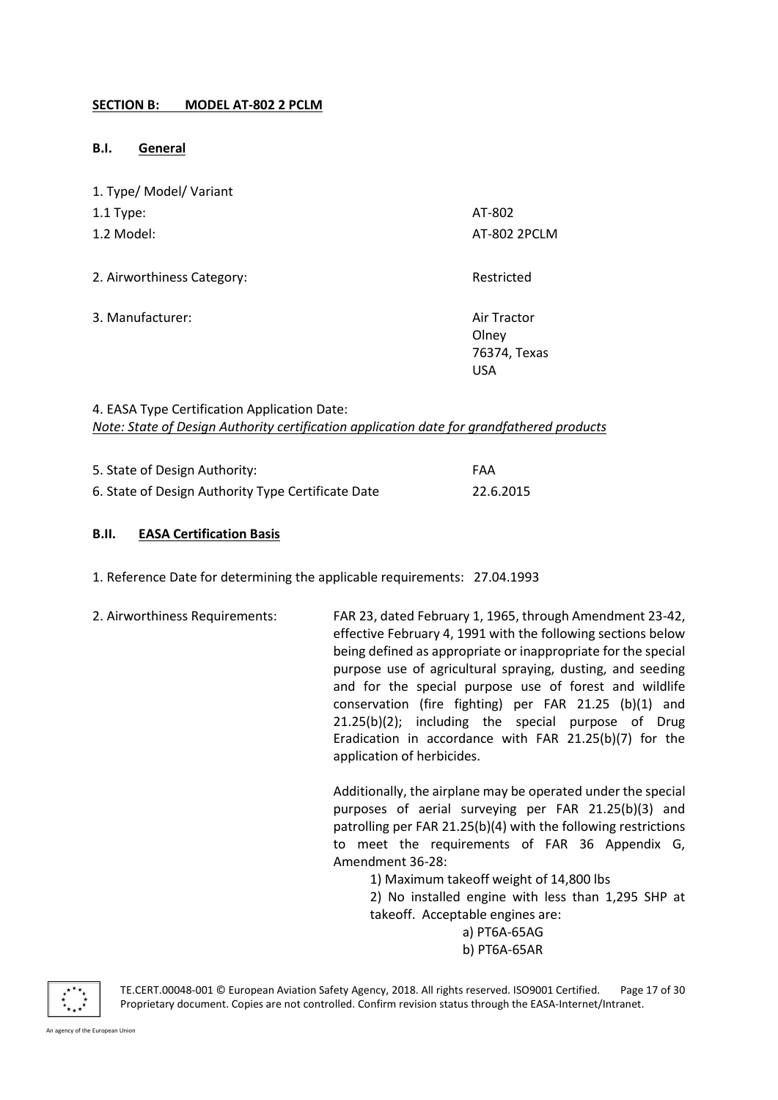## <span id="page-16-0"></span>**SECTION B: MODEL AT-802 2 PCLM**

## <span id="page-16-1"></span>**B.I. General**

| 1. Type/ Model/ Variant    |                                                    |
|----------------------------|----------------------------------------------------|
| $1.1$ Type:                | AT-802                                             |
| 1.2 Model:                 | AT-802 2PCLM                                       |
| 2. Airworthiness Category: | Restricted                                         |
| 3. Manufacturer:           | Air Tractor<br>Olney<br>76374, Texas<br><b>USA</b> |

4. EASA Type Certification Application Date: *Note: State of Design Authority certification application date for grandfathered products*

| 5. State of Design Authority:                      | FAA       |
|----------------------------------------------------|-----------|
| 6. State of Design Authority Type Certificate Date | 22.6.2015 |

## <span id="page-16-2"></span>**B.II. EASA Certification Basis**

1. Reference Date for determining the applicable requirements: 27.04.1993

2. Airworthiness Requirements: FAR 23, dated February 1, 1965, through Amendment 23-42, effective February 4, 1991 with the following sections below being defined as appropriate or inappropriate for the special purpose use of agricultural spraying, dusting, and seeding and for the special purpose use of forest and wildlife conservation (fire fighting) per FAR 21.25 (b)(1) and 21.25(b)(2); including the special purpose of Drug Eradication in accordance with FAR 21.25(b)(7) for the application of herbicides.

> Additionally, the airplane may be operated under the special purposes of aerial surveying per FAR 21.25(b)(3) and patrolling per FAR 21.25(b)(4) with the following restrictions to meet the requirements of FAR 36 Appendix G, Amendment 36-28:

> > 1) Maximum takeoff weight of 14,800 lbs

2) No installed engine with less than 1,295 SHP at takeoff. Acceptable engines are:

> a) PT6A-65AG b) PT6A-65AR



TE.CERT.00048-001 © European Aviation Safety Agency, 2018. All rights reserved. ISO9001 Certified. Page 17 of 30 Proprietary document. Copies are not controlled. Confirm revision status through the EASA-Internet/Intranet.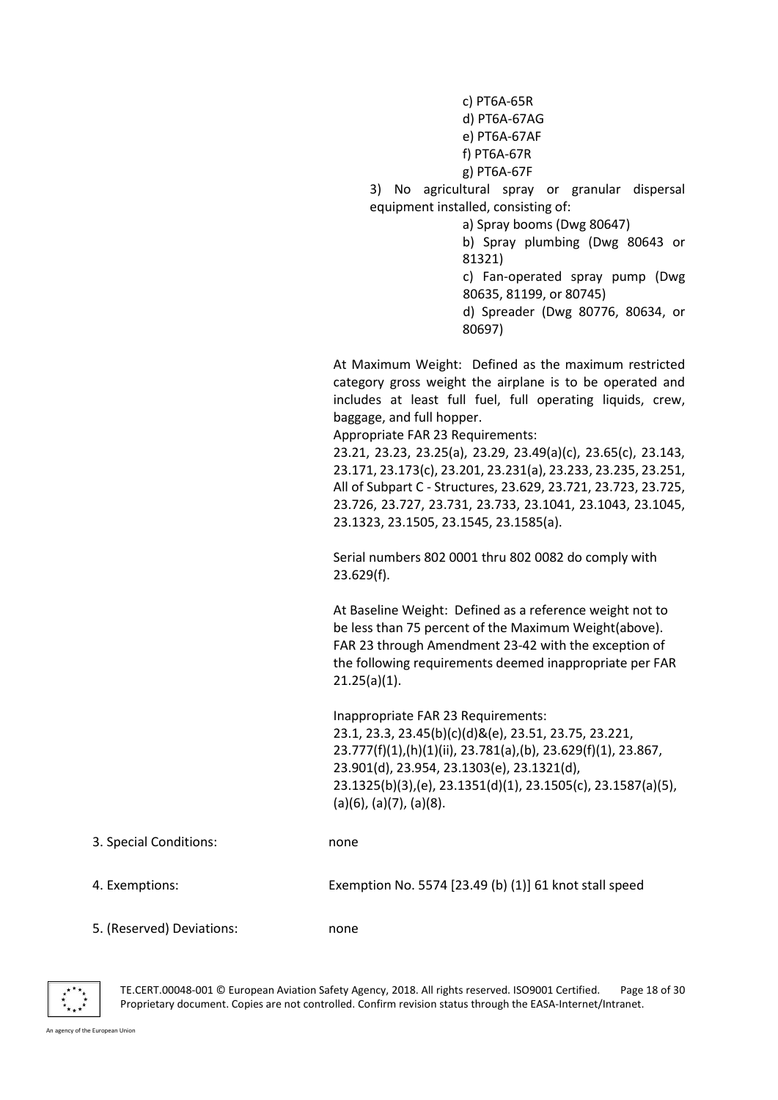c) PT6A-65R d) PT6A-67AG e) PT6A-67AF f) PT6A-67R g) PT6A-67F

3) No agricultural spray or granular dispersal equipment installed, consisting of:

> a) Spray booms (Dwg 80647) b) Spray plumbing (Dwg 80643 or 81321) c) Fan-operated spray pump (Dwg 80635, 81199, or 80745) d) Spreader (Dwg 80776, 80634, or

80697)

At Maximum Weight: Defined as the maximum restricted category gross weight the airplane is to be operated and includes at least full fuel, full operating liquids, crew, baggage, and full hopper.

Appropriate FAR 23 Requirements:

23.21, 23.23, 23.25(a), 23.29, 23.49(a)(c), 23.65(c), 23.143, 23.171, 23.173(c), 23.201, 23.231(a), 23.233, 23.235, 23.251, All of Subpart C - Structures, 23.629, 23.721, 23.723, 23.725, 23.726, 23.727, 23.731, 23.733, 23.1041, 23.1043, 23.1045, 23.1323, 23.1505, 23.1545, 23.1585(a).

Serial numbers 802 0001 thru 802 0082 do comply with 23.629(f).

At Baseline Weight: Defined as a reference weight not to be less than 75 percent of the Maximum Weight(above). FAR 23 through Amendment 23-42 with the exception of the following requirements deemed inappropriate per FAR 21.25(a)(1).

Inappropriate FAR 23 Requirements: 23.1, 23.3, 23.45(b)(c)(d)&(e), 23.51, 23.75, 23.221, 23.777(f)(1),(h)(1)(ii), 23.781(a),(b), 23.629(f)(1), 23.867, 23.901(d), 23.954, 23.1303(e), 23.1321(d), 23.1325(b)(3),(e), 23.1351(d)(1), 23.1505(c), 23.1587(a)(5), (a)(6), (a)(7), (a)(8).

- 3. Special Conditions: none
- 4. Exemptions: Exemption No. 5574 [23.49 (b) (1)] 61 knot stall speed
- 5. (Reserved) Deviations: none



TE.CERT.00048-001 © European Aviation Safety Agency, 2018. All rights reserved. ISO9001 Certified. Page 18 of 30 Proprietary document. Copies are not controlled. Confirm revision status through the EASA-Internet/Intranet.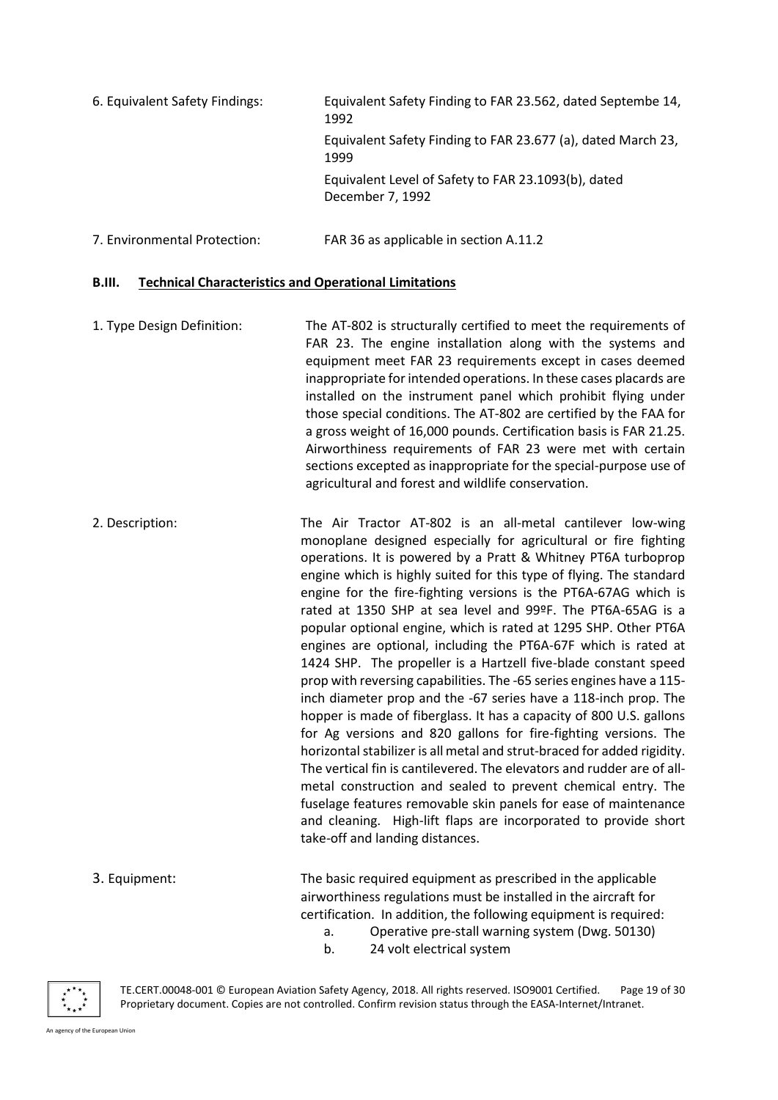| 6. Equivalent Safety Findings: | Equivalent Safety Finding to FAR 23.562, dated Septembe 14,<br>1992     |
|--------------------------------|-------------------------------------------------------------------------|
|                                | Equivalent Safety Finding to FAR 23.677 (a), dated March 23,<br>1999    |
|                                | Equivalent Level of Safety to FAR 23.1093(b), dated<br>December 7, 1992 |
| 7. Environmental Protection:   | FAR 36 as applicable in section A.11.2                                  |

## <span id="page-18-0"></span>**B.III. Technical Characteristics and Operational Limitations**

| 1. Type Design Definition: | The AT-802 is structurally certified to meet the requirements of   |
|----------------------------|--------------------------------------------------------------------|
|                            | FAR 23. The engine installation along with the systems and         |
|                            | equipment meet FAR 23 requirements except in cases deemed          |
|                            | inappropriate for intended operations. In these cases placards are |
|                            | installed on the instrument panel which prohibit flying under      |
|                            | those special conditions. The AT-802 are certified by the FAA for  |
|                            | a gross weight of 16,000 pounds. Certification basis is FAR 21.25. |
|                            | Airworthiness requirements of FAR 23 were met with certain         |
|                            | sections excepted as inappropriate for the special-purpose use of  |
|                            | agricultural and forest and wildlife conservation.                 |

- 2. Description: The Air Tractor AT-802 is an all-metal cantilever low-wing monoplane designed especially for agricultural or fire fighting operations. It is powered by a Pratt & Whitney PT6A turboprop engine which is highly suited for this type of flying. The standard engine for the fire-fighting versions is the PT6A-67AG which is rated at 1350 SHP at sea level and 99ºF. The PT6A-65AG is a popular optional engine, which is rated at 1295 SHP. Other PT6A engines are optional, including the PT6A-67F which is rated at 1424 SHP. The propeller is a Hartzell five-blade constant speed prop with reversing capabilities. The -65 series engines have a 115 inch diameter prop and the -67 series have a 118-inch prop. The hopper is made of fiberglass. It has a capacity of 800 U.S. gallons for Ag versions and 820 gallons for fire-fighting versions. The horizontal stabilizer is all metal and strut-braced for added rigidity. The vertical fin is cantilevered. The elevators and rudder are of allmetal construction and sealed to prevent chemical entry. The fuselage features removable skin panels for ease of maintenance and cleaning. High-lift flaps are incorporated to provide short take-off and landing distances.
- 3. Equipment: The basic required equipment as prescribed in the applicable airworthiness regulations must be installed in the aircraft for certification. In addition, the following equipment is required: a. Operative pre-stall warning system (Dwg. 50130)
	- b. 24 volt electrical system



TE.CERT.00048-001 © European Aviation Safety Agency, 2018. All rights reserved. ISO9001 Certified. Page 19 of 30 Proprietary document. Copies are not controlled. Confirm revision status through the EASA-Internet/Intranet.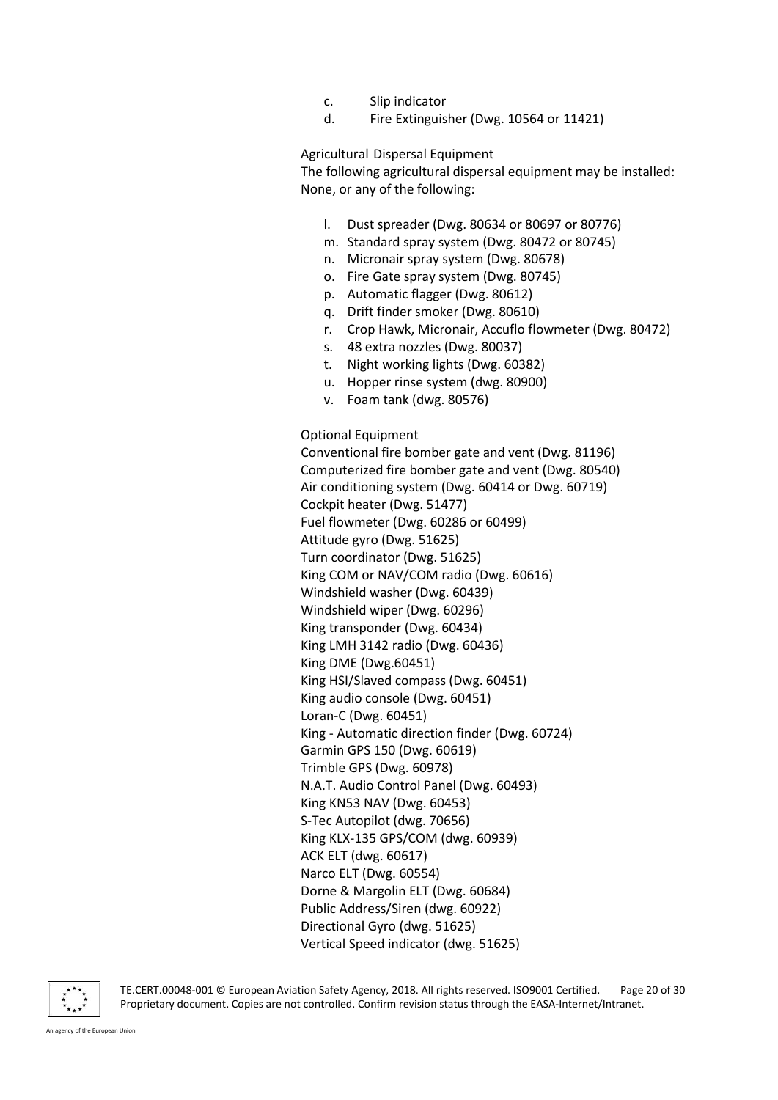- c. Slip indicator
- d. Fire Extinguisher (Dwg. 10564 or 11421)

Agricultural Dispersal Equipment

The following agricultural dispersal equipment may be installed: None, or any of the following:

- l. Dust spreader (Dwg. 80634 or 80697 or 80776)
- m. Standard spray system (Dwg. 80472 or 80745)
- n. Micronair spray system (Dwg. 80678)
- o. Fire Gate spray system (Dwg. 80745)
- p. Automatic flagger (Dwg. 80612)
- q. Drift finder smoker (Dwg. 80610)
- r. Crop Hawk, Micronair, Accuflo flowmeter (Dwg. 80472)
- s. 48 extra nozzles (Dwg. 80037)
- t. Night working lights (Dwg. 60382)
- u. Hopper rinse system (dwg. 80900)
- v. Foam tank (dwg. 80576)

Optional Equipment

Conventional fire bomber gate and vent (Dwg. 81196) Computerized fire bomber gate and vent (Dwg. 80540) Air conditioning system (Dwg. 60414 or Dwg. 60719) Cockpit heater (Dwg. 51477) Fuel flowmeter (Dwg. 60286 or 60499) Attitude gyro (Dwg. 51625) Turn coordinator (Dwg. 51625) King COM or NAV/COM radio (Dwg. 60616) Windshield washer (Dwg. 60439) Windshield wiper (Dwg. 60296) King transponder (Dwg. 60434) King LMH 3142 radio (Dwg. 60436) King DME (Dwg.60451) King HSI/Slaved compass (Dwg. 60451) King audio console (Dwg. 60451) Loran-C (Dwg. 60451) King - Automatic direction finder (Dwg. 60724) Garmin GPS 150 (Dwg. 60619) Trimble GPS (Dwg. 60978) N.A.T. Audio Control Panel (Dwg. 60493) King KN53 NAV (Dwg. 60453) S-Tec Autopilot (dwg. 70656) King KLX-135 GPS/COM (dwg. 60939) ACK ELT (dwg. 60617) Narco ELT (Dwg. 60554) Dorne & Margolin ELT (Dwg. 60684) Public Address/Siren (dwg. 60922) Directional Gyro (dwg. 51625) Vertical Speed indicator (dwg. 51625)



TE.CERT.00048-001 © European Aviation Safety Agency, 2018. All rights reserved. ISO9001 Certified. Page 20 of 30 Proprietary document. Copies are not controlled. Confirm revision status through the EASA-Internet/Intranet.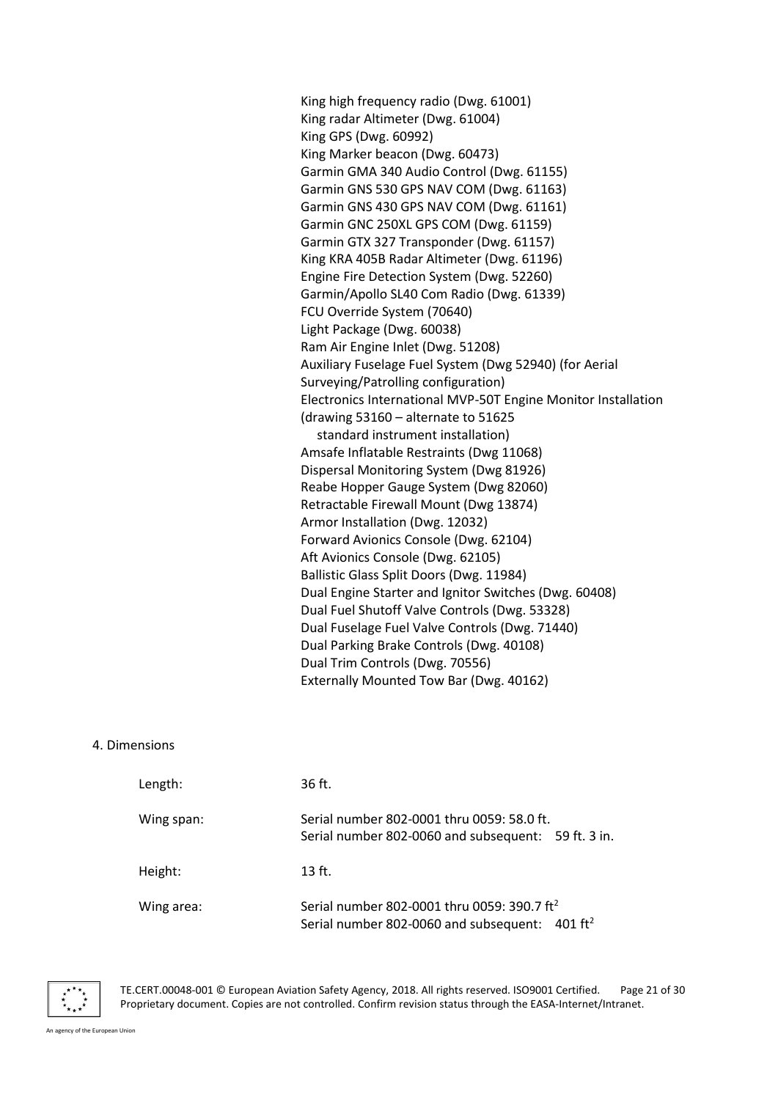King high frequency radio (Dwg. 61001) King radar Altimeter (Dwg. 61004) King GPS (Dwg. 60992) King Marker beacon (Dwg. 60473) Garmin GMA 340 Audio Control (Dwg. 61155) Garmin GNS 530 GPS NAV COM (Dwg. 61163) Garmin GNS 430 GPS NAV COM (Dwg. 61161) Garmin GNC 250XL GPS COM (Dwg. 61159) Garmin GTX 327 Transponder (Dwg. 61157) King KRA 405B Radar Altimeter (Dwg. 61196) Engine Fire Detection System (Dwg. 52260) Garmin/Apollo SL40 Com Radio (Dwg. 61339) FCU Override System (70640) Light Package (Dwg. 60038) Ram Air Engine Inlet (Dwg. 51208) Auxiliary Fuselage Fuel System (Dwg 52940) (for Aerial Surveying/Patrolling configuration) Electronics International MVP-50T Engine Monitor Installation (drawing 53160 – alternate to 51625 standard instrument installation) Amsafe Inflatable Restraints (Dwg 11068) Dispersal Monitoring System (Dwg 81926) Reabe Hopper Gauge System (Dwg 82060) Retractable Firewall Mount (Dwg 13874) Armor Installation (Dwg. 12032) Forward Avionics Console (Dwg. 62104) Aft Avionics Console (Dwg. 62105) Ballistic Glass Split Doors (Dwg. 11984) Dual Engine Starter and Ignitor Switches (Dwg. 60408) Dual Fuel Shutoff Valve Controls (Dwg. 53328) Dual Fuselage Fuel Valve Controls (Dwg. 71440) Dual Parking Brake Controls (Dwg. 40108) Dual Trim Controls (Dwg. 70556) Externally Mounted Tow Bar (Dwg. 40162)

#### 4. Dimensions

| Length:    | 36 ft.                                                                                                                |
|------------|-----------------------------------------------------------------------------------------------------------------------|
| Wing span: | Serial number 802-0001 thru 0059: 58.0 ft.<br>Serial number 802-0060 and subsequent: 59 ft. 3 in.                     |
| Height:    | $13$ ft.                                                                                                              |
| Wing area: | Serial number 802-0001 thru 0059: 390.7 ft <sup>2</sup><br>Serial number 802-0060 and subsequent: 401 ft <sup>2</sup> |



TE.CERT.00048-001 © European Aviation Safety Agency, 2018. All rights reserved. ISO9001 Certified. Page 21 of 30 Proprietary document. Copies are not controlled. Confirm revision status through the EASA-Internet/Intranet.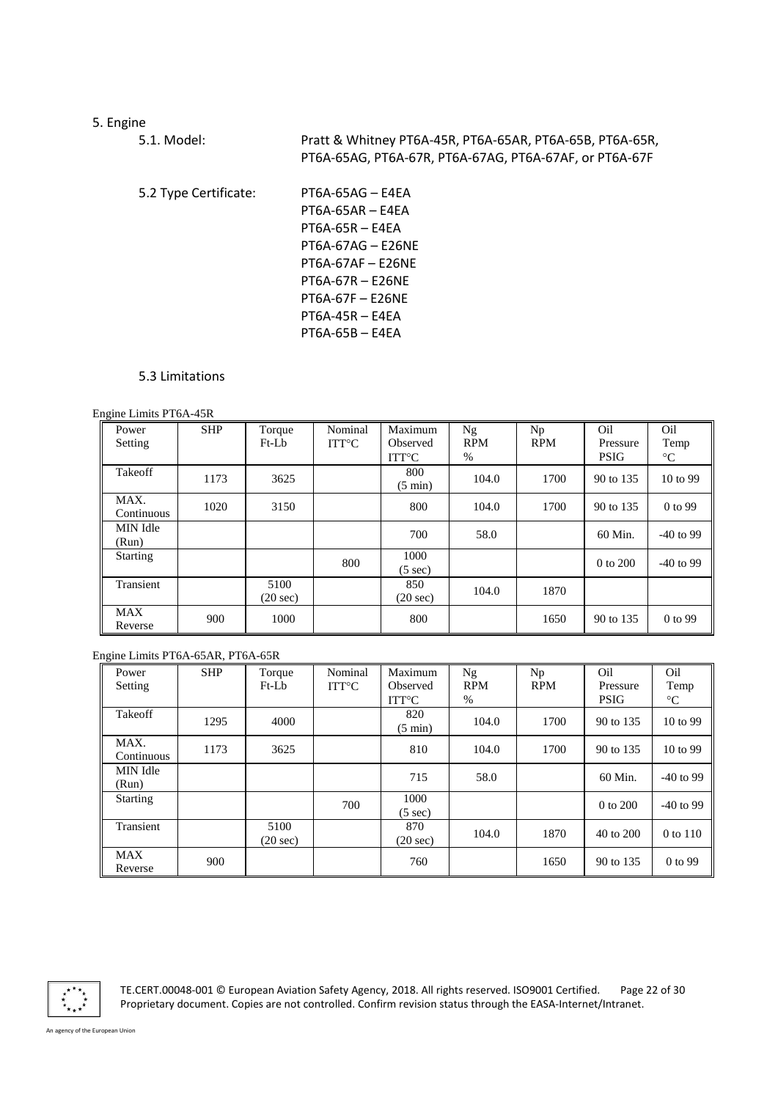## 5. Engine

5.1. Model: Pratt & Whitney PT6A-45R, PT6A-65AR, PT6A-65B, PT6A-65R, PT6A-65AG, PT6A-67R, PT6A-67AG, PT6A-67AF, or PT6A-67F

5.2 Type Certificate: PT6A-65AG – E4EA PT6A-65AR – E4EA PT6A-65R – E4EA PT6A-67AG – E26NE PT6A-67AF – E26NE PT6A-67R – E26NE PT6A-67F – E26NE PT6A-45R – E4EA PT6A-65B – E4EA

#### 5.3 Limitations

Engine Limits PT6A-45R

| $\tilde{\phantom{a}}$<br>Power<br>Setting | <b>SHP</b> | Torque<br>Ft-Lb            | Nominal<br><b>ITT°C</b> | Maximum<br>Observed<br><b>ITT°C</b> | Ng<br><b>RPM</b><br>% | Np<br><b>RPM</b> | Oil<br>Pressure<br><b>PSIG</b> | Oil<br>Temp<br>$^{\circ}C$ |
|-------------------------------------------|------------|----------------------------|-------------------------|-------------------------------------|-----------------------|------------------|--------------------------------|----------------------------|
| Takeoff                                   | 1173       | 3625                       |                         | 800<br>$(5 \text{ min})$            | 104.0                 | 1700             | 90 to 135                      | 10 to 99                   |
| MAX.<br>Continuous                        | 1020       | 3150                       |                         | 800                                 | 104.0                 | 1700             | 90 to 135                      | 0 to 99                    |
| MIN Idle<br>(Run)                         |            |                            |                         | 700                                 | 58.0                  |                  | 60 Min.                        | $-40$ to 99                |
| <b>Starting</b>                           |            |                            | 800                     | 1000<br>$(5 \text{ sec})$           |                       |                  | 0 to 200                       | $-40$ to 99                |
| Transient                                 |            | 5100<br>$(20 \text{ sec})$ |                         | 850<br>$(20 \text{ sec})$           | 104.0                 | 1870             |                                |                            |
| <b>MAX</b><br>Reverse                     | 900        | 1000                       |                         | 800                                 |                       | 1650             | 90 to 135                      | 0 to 99                    |

#### Engine Limits PT6A-65AR, PT6A-65R

| Power<br>Setting      | <b>SHP</b> | Torque<br>Ft-Lb            | Nominal<br><b>ITT°C</b> | Maximum<br>Observed       | Ng<br><b>RPM</b> | Np<br><b>RPM</b> | Oil<br>Pressure      | Oil<br>Temp     |
|-----------------------|------------|----------------------------|-------------------------|---------------------------|------------------|------------------|----------------------|-----------------|
|                       |            |                            |                         | <b>ITT°C</b>              | $\%$             |                  | <b>PSIG</b>          | $\rm ^{\circ}C$ |
| Takeoff               | 1295       | 4000                       |                         | 820<br>$(5 \text{ min})$  | 104.0            | 1700             | 90 to 135            | 10 to 99        |
| MAX.<br>Continuous    | 1173       | 3625                       |                         | 810                       | 104.0            | 1700             | 90 to 135            | 10 to 99        |
| MIN Idle<br>(Run)     |            |                            |                         | 715                       | 58.0             |                  | 60 Min.              | $-40$ to 99     |
| <b>Starting</b>       |            |                            | 700                     | 1000<br>$(5 \text{ sec})$ |                  |                  | $0$ to $200$         | $-40$ to 99     |
| Transient             |            | 5100<br>$(20 \text{ sec})$ |                         | 870<br>$(20 \text{ sec})$ | 104.0            | 1870             | $40 \text{ to } 200$ | 0 to 110        |
| <b>MAX</b><br>Reverse | 900        |                            |                         | 760                       |                  | 1650             | 90 to 135            | 0 to 99         |



TE.CERT.00048-001 © European Aviation Safety Agency, 2018. All rights reserved. ISO9001 Certified. Page 22 of 30 Proprietary document. Copies are not controlled. Confirm revision status through the EASA-Internet/Intranet.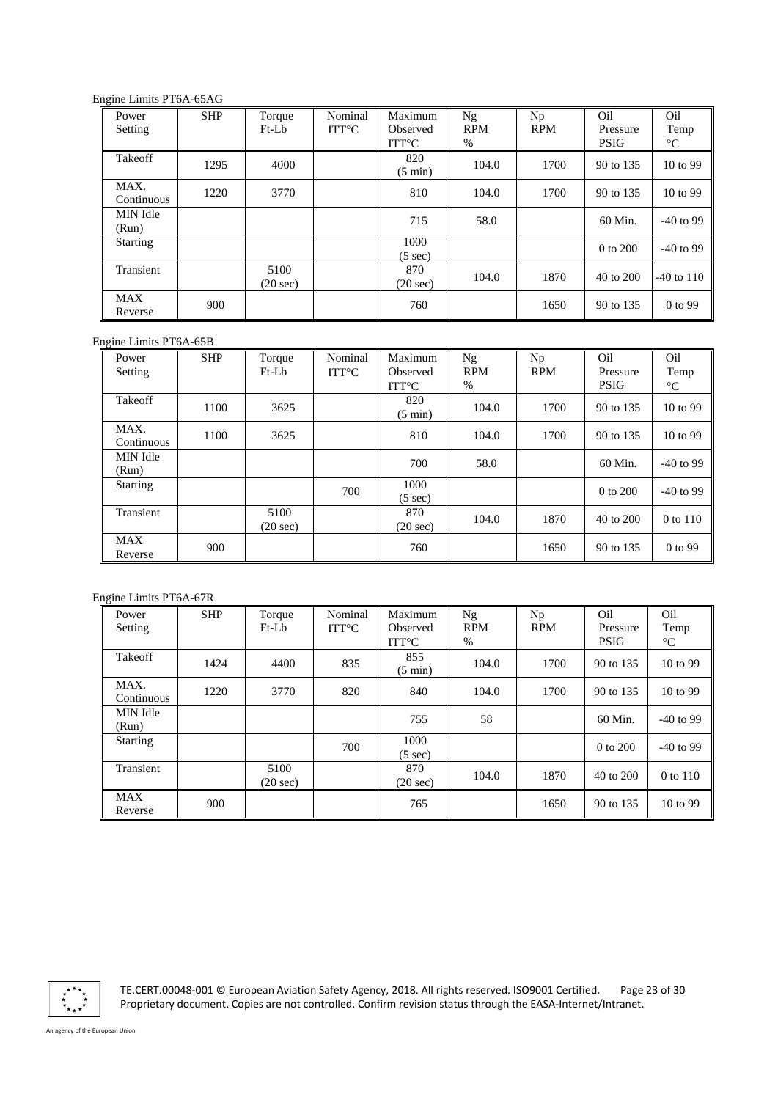#### Engine Limits PT6A-65AG

| $\overline{\phantom{0}}$<br>Power<br>Setting | <b>SHP</b> | Torque<br>Ft-Lb            | Nominal<br><b>ITT<sup>o</sup>C</b> | Maximum<br>Observed       | <b>Ng</b><br><b>RPM</b> | Np<br><b>RPM</b> | Oil<br>Pressure | Oil<br>Temp     |
|----------------------------------------------|------------|----------------------------|------------------------------------|---------------------------|-------------------------|------------------|-----------------|-----------------|
|                                              |            |                            |                                    | <b>ITT°C</b>              | %                       |                  | <b>PSIG</b>     | $\rm ^{\circ}C$ |
| Takeoff                                      | 1295       | 4000                       |                                    | 820<br>$(5 \text{ min})$  | 104.0                   | 1700             | 90 to 135       | 10 to 99        |
| MAX.<br>Continuous                           | 1220       | 3770                       |                                    | 810                       | 104.0                   | 1700             | 90 to 135       | 10 to 99        |
| MIN Idle<br>(Run)                            |            |                            |                                    | 715                       | 58.0                    |                  | 60 Min.         | $-40$ to 99     |
| <b>Starting</b>                              |            |                            |                                    | 1000<br>$(5 \text{ sec})$ |                         |                  | 0 to 200        | $-40$ to 99     |
| Transient                                    |            | 5100<br>$(20 \text{ sec})$ |                                    | 870<br>$(20 \text{ sec})$ | 104.0                   | 1870             | 40 to 200       | $-40$ to $110$  |
| <b>MAX</b><br>Reverse                        | 900        |                            |                                    | 760                       |                         | 1650             | 90 to 135       | 0 to 99         |

#### Engine Limits PT6A-65B

| Power<br>Setting      | <b>SHP</b> | Torque<br>Ft-Lb            | Nominal<br><b>ITT<sup>o</sup>C</b> | Maximum<br>Observed       | Ng<br><b>RPM</b> | Np<br><b>RPM</b> | Oil<br>Pressure | Oil<br>Temp     |
|-----------------------|------------|----------------------------|------------------------------------|---------------------------|------------------|------------------|-----------------|-----------------|
|                       |            |                            |                                    | <b>ITT°C</b>              | %                |                  | <b>PSIG</b>     | $\rm ^{\circ}C$ |
| Takeoff               | 1100       | 3625                       |                                    | 820<br>$(5 \text{ min})$  | 104.0            | 1700             | 90 to 135       | 10 to 99        |
| MAX.<br>Continuous    | 1100       | 3625                       |                                    | 810                       | 104.0            | 1700             | 90 to 135       | 10 to 99        |
| MIN Idle<br>(Run)     |            |                            |                                    | 700                       | 58.0             |                  | 60 Min.         | $-40$ to 99     |
| <b>Starting</b>       |            |                            | 700                                | 1000<br>$(5 \text{ sec})$ |                  |                  | $0$ to $200$    | $-40$ to 99     |
| Transient             |            | 5100<br>$(20 \text{ sec})$ |                                    | 870<br>$(20 \text{ sec})$ | 104.0            | 1870             | 40 to 200       | 0 to 110        |
| <b>MAX</b><br>Reverse | 900        |                            |                                    | 760                       |                  | 1650             | 90 to 135       | 0 to 99         |

Engine Limits PT6A-67R

| Power           | <b>SHP</b> | Torque             | Nominal      | Maximum                  | Ng         | Np         | Oil         | Oil             |
|-----------------|------------|--------------------|--------------|--------------------------|------------|------------|-------------|-----------------|
| Setting         |            | $Ft-Lb$            | <b>ITT°C</b> | <b>Observed</b>          | <b>RPM</b> | <b>RPM</b> | Pressure    | Temp            |
|                 |            |                    |              | <b>ITT<sup>o</sup>C</b>  | $\%$       |            | <b>PSIG</b> | $\rm ^{\circ}C$ |
| Takeoff         | 1424       | 4400               | 835          | 855<br>$(5 \text{ min})$ | 104.0      | 1700       | 90 to 135   | 10 to 99        |
| MAX.            | 1220       | 3770               | 820          | 840                      | 104.0      | 1700       | 90 to 135   | 10 to 99        |
| Continuous      |            |                    |              |                          |            |            |             |                 |
| <b>MIN</b> Idle |            |                    |              | 755                      | 58         |            | 60 Min.     | $-40$ to 99     |
| (Run)           |            |                    |              |                          |            |            |             |                 |
| <b>Starting</b> |            |                    | 700          | 1000                     |            |            | 0 to 200    | $-40$ to 99     |
|                 |            |                    |              | $(5 \text{ sec})$        |            |            |             |                 |
| Transient       |            | 5100               |              | 870                      | 104.0      | 1870       | 40 to 200   | 0 to 110        |
|                 |            | $(20 \text{ sec})$ |              | $(20 \text{ sec})$       |            |            |             |                 |
| <b>MAX</b>      | 900        |                    |              | 765                      |            | 1650       | 90 to 135   | 10 to 99        |
| Reverse         |            |                    |              |                          |            |            |             |                 |

TE.CERT.00048-001 © European Aviation Safety Agency, 2018. All rights reserved. ISO9001 Certified. Page 23 of 30 Proprietary document. Copies are not controlled. Confirm revision status through the EASA-Internet/Intranet.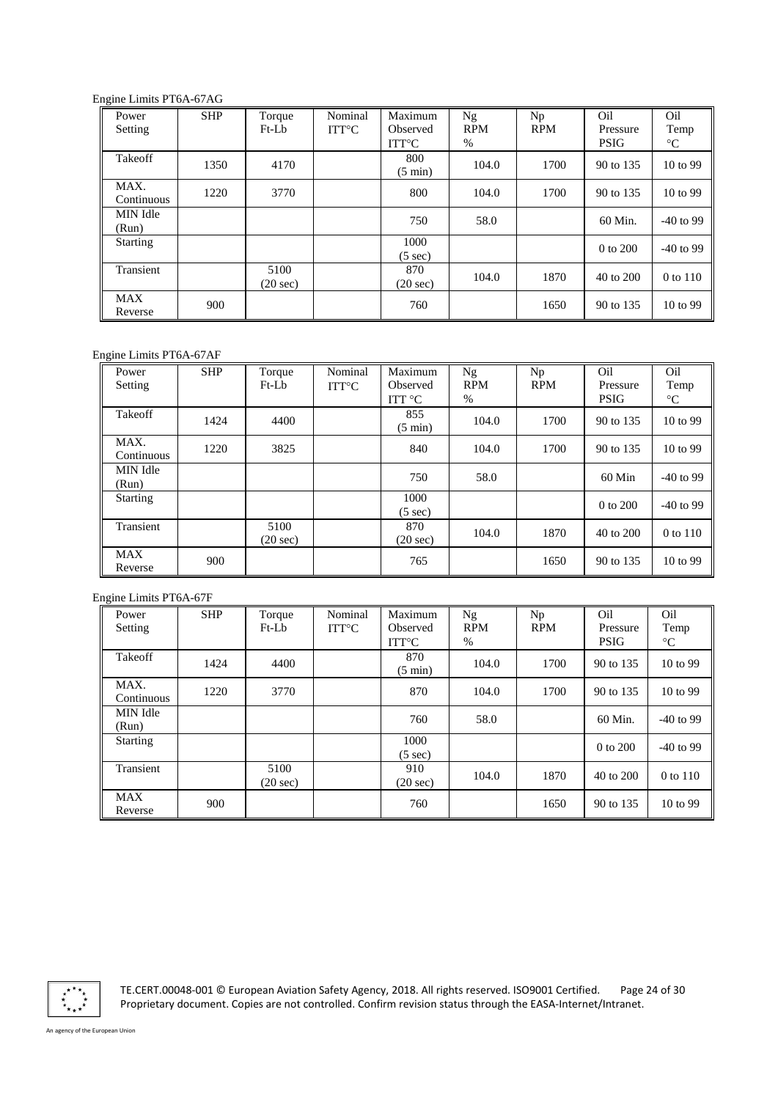Engine Limits PT6A-67AG

| $\tilde{\phantom{a}}$<br>Power<br>Setting | <b>SHP</b> | Torque<br>Ft-Lb            | Nominal<br><b>ITT°C</b> | Maximum<br>Observed       | Ng<br><b>RPM</b> | Np<br><b>RPM</b> | Oil<br>Pressure | Oil<br>Temp     |
|-------------------------------------------|------------|----------------------------|-------------------------|---------------------------|------------------|------------------|-----------------|-----------------|
|                                           |            |                            |                         | <b>ITT°C</b>              | %                |                  | <b>PSIG</b>     | $\rm ^{\circ}C$ |
| Takeoff                                   | 1350       | 4170                       |                         | 800<br>$(5 \text{ min})$  | 104.0            | 1700             | 90 to 135       | 10 to 99        |
| MAX.<br>Continuous                        | 1220       | 3770                       |                         | 800                       | 104.0            | 1700             | 90 to 135       | 10 to 99        |
| MIN Idle<br>(Run)                         |            |                            |                         | 750                       | 58.0             |                  | 60 Min.         | $-40$ to 99     |
| <b>Starting</b>                           |            |                            |                         | 1000<br>$(5 \text{ sec})$ |                  |                  | 0 to 200        | $-40$ to 99     |
| Transient                                 |            | 5100<br>$(20 \text{ sec})$ |                         | 870<br>$(20 \text{ sec})$ | 104.0            | 1870             | 40 to 200       | 0 to 110        |
| <b>MAX</b><br>Reverse                     | 900        |                            |                         | 760                       |                  | 1650             | 90 to 135       | 10 to 99        |

#### Engine Limits PT6A-67AF

| $\circ$<br>Power<br>Setting | <b>SHP</b> | Torque<br>Ft-Lb            | Nominal<br><b>ITT°C</b> | Maximum<br>Observed<br>ITT °C | Ng<br><b>RPM</b><br>% | Np<br><b>RPM</b> | Oil<br>Pressure<br><b>PSIG</b> | Oil<br>Temp<br>$\rm ^{\circ}C$ |
|-----------------------------|------------|----------------------------|-------------------------|-------------------------------|-----------------------|------------------|--------------------------------|--------------------------------|
| Takeoff                     | 1424       | 4400                       |                         | 855<br>$(5 \text{ min})$      | 104.0                 | 1700             | 90 to 135                      | 10 to 99                       |
| MAX.<br>Continuous          | 1220       | 3825                       |                         | 840                           | 104.0                 | 1700             | 90 to 135                      | 10 to 99                       |
| MIN Idle<br>(Run)           |            |                            |                         | 750                           | 58.0                  |                  | 60 Min                         | $-40$ to 99                    |
| <b>Starting</b>             |            |                            |                         | 1000<br>$(5 \text{ sec})$     |                       |                  | $0$ to $200$                   | $-40$ to 99                    |
| Transient                   |            | 5100<br>$(20 \text{ sec})$ |                         | 870<br>$(20 \text{ sec})$     | 104.0                 | 1870             | $40 \text{ to } 200$           | 0 to 110                       |
| MAX<br>Reverse              | 900        |                            |                         | 765                           |                       | 1650             | 90 to 135                      | 10 to 99                       |

Engine Limits PT6A-67F

| Power                 | <b>SHP</b> | Torque                     | Nominal      | Maximum                   | Ng         | Np         | Oil                  | Oil             |
|-----------------------|------------|----------------------------|--------------|---------------------------|------------|------------|----------------------|-----------------|
| Setting               |            | $Ft-Lb$                    | <b>ITT°C</b> | Observed                  | <b>RPM</b> | <b>RPM</b> | Pressure             | Temp            |
|                       |            |                            |              | <b>ITT°C</b>              | $\%$       |            | <b>PSIG</b>          | $\rm ^{\circ}C$ |
| Takeoff               | 1424       | 4400                       |              | 870<br>$(5 \text{ min})$  | 104.0      | 1700       | 90 to 135            | 10 to 99        |
| MAX.<br>Continuous    | 1220       | 3770                       |              | 870                       | 104.0      | 1700       | 90 to 135            | 10 to 99        |
| MIN Idle<br>(Run)     |            |                            |              | 760                       | 58.0       |            | 60 Min.              | $-40$ to 99     |
| <b>Starting</b>       |            |                            |              | 1000<br>$(5 \text{ sec})$ |            |            | 0 to 200             | $-40$ to 99     |
| Transient             |            | 5100<br>$(20 \text{ sec})$ |              | 910<br>$(20 \text{ sec})$ | 104.0      | 1870       | $40 \text{ to } 200$ | 0 to 110        |
| <b>MAX</b><br>Reverse | 900        |                            |              | 760                       |            | 1650       | 90 to 135            | 10 to 99        |

TE.CERT.00048-001 © European Aviation Safety Agency, 2018. All rights reserved. ISO9001 Certified. Page 24 of 30 Proprietary document. Copies are not controlled. Confirm revision status through the EASA-Internet/Intranet.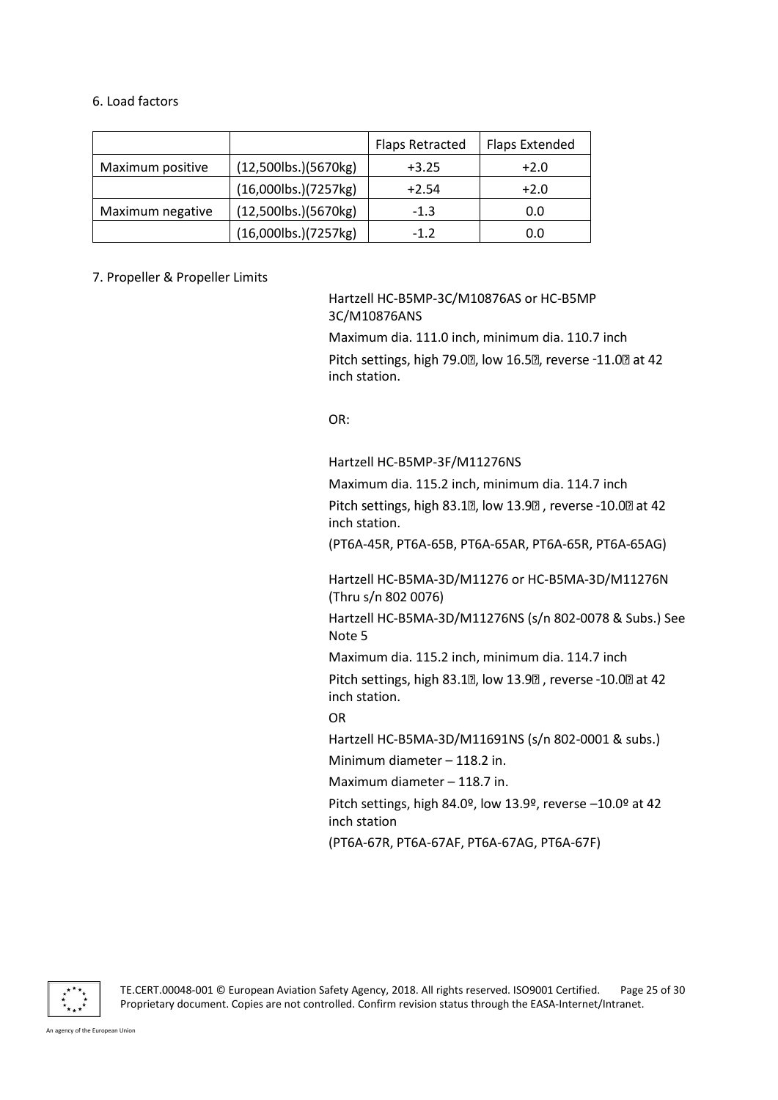## 6. Load factors

|                  |                             | <b>Flaps Retracted</b> | Flaps Extended |
|------------------|-----------------------------|------------------------|----------------|
| Maximum positive | $(12,500$ lbs. $)(5670$ kg) | $+3.25$                | $+2.0$         |
|                  | $(16,000$ lbs. $)(7257$ kg) | $+2.54$                | $+2.0$         |
| Maximum negative | $(12,500$ lbs. $)(5670$ kg) | $-1.3$                 | 0.0            |
|                  | (16,000lbs.)(7257kg)        | $-1.2$                 | 0.0            |

7. Propeller & Propeller Limits

Hartzell HC-B5MP-3C/M10876AS or HC-B5MP 3C/M10876ANS

Maximum dia. 111.0 inch, minimum dia. 110.7 inch Pitch settings, high 79.02, low 16.52, reverse -11.02 at 42 inch station.

#### OR:

Hartzell HC-B5MP-3F/M11276NS

Maximum dia. 115.2 inch, minimum dia. 114.7 inch Pitch settings, high 83.1<sup>®</sup>, low 13.9<sup>®</sup>, reverse -10.0<sup>®</sup> at 42 inch station.

(PT6A-45R, PT6A-65B, PT6A-65AR, PT6A-65R, PT6A-65AG)

Hartzell HC-B5MA-3D/M11276 or HC-B5MA-3D/M11276N (Thru s/n 802 0076)

Hartzell HC-B5MA-3D/M11276NS (s/n 802-0078 & Subs.) See Note 5

Maximum dia. 115.2 inch, minimum dia. 114.7 inch Pitch settings, high 83.1<sup>[2]</sup>, low 13.9<sup>[2]</sup>, reverse -10.0<sup>[2]</sup> at 42 inch station.

## OR

Hartzell HC-B5MA-3D/M11691NS (s/n 802-0001 & subs.) Minimum diameter – 118.2 in.

Maximum diameter – 118.7 in.

Pitch settings, high 84.0º, low 13.9º, reverse –10.0º at 42 inch station

(PT6A-67R, PT6A-67AF, PT6A-67AG, PT6A-67F)



TE.CERT.00048-001 © European Aviation Safety Agency, 2018. All rights reserved. ISO9001 Certified. Page 25 of 30 Proprietary document. Copies are not controlled. Confirm revision status through the EASA-Internet/Intranet.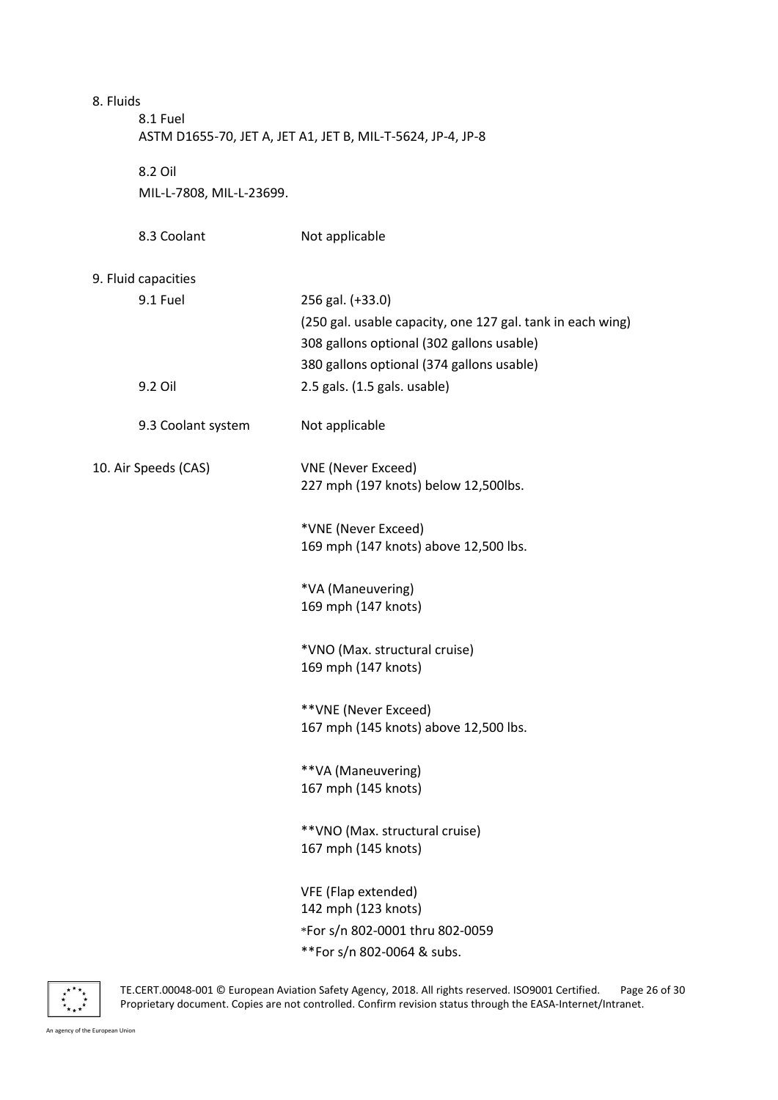# 8. Fluids

| 8.1 Fuel                 | ASTM D1655-70, JET A, JET A1, JET B, MIL-T-5624, JP-4, JP-8                                                                                                              |
|--------------------------|--------------------------------------------------------------------------------------------------------------------------------------------------------------------------|
| 8.2 Oil                  |                                                                                                                                                                          |
| MIL-L-7808, MIL-L-23699. |                                                                                                                                                                          |
| 8.3 Coolant              | Not applicable                                                                                                                                                           |
| 9. Fluid capacities      |                                                                                                                                                                          |
| 9.1 Fuel                 | 256 gal. (+33.0)<br>(250 gal. usable capacity, one 127 gal. tank in each wing)<br>308 gallons optional (302 gallons usable)<br>380 gallons optional (374 gallons usable) |
| 9.2 Oil                  | 2.5 gals. (1.5 gals. usable)                                                                                                                                             |
| 9.3 Coolant system       | Not applicable                                                                                                                                                           |
| 10. Air Speeds (CAS)     | <b>VNE</b> (Never Exceed)<br>227 mph (197 knots) below 12,500lbs.                                                                                                        |
|                          | *VNE (Never Exceed)<br>169 mph (147 knots) above 12,500 lbs.                                                                                                             |
|                          | *VA (Maneuvering)<br>169 mph (147 knots)                                                                                                                                 |
|                          | *VNO (Max. structural cruise)<br>169 mph (147 knots)                                                                                                                     |
|                          | **VNE (Never Exceed)<br>167 mph (145 knots) above 12,500 lbs.                                                                                                            |
|                          | **VA (Maneuvering)<br>167 mph (145 knots)                                                                                                                                |
|                          | **VNO (Max. structural cruise)<br>167 mph (145 knots)                                                                                                                    |
|                          | VFE (Flap extended)<br>142 mph (123 knots)                                                                                                                               |
|                          | *For s/n 802-0001 thru 802-0059<br>**For s/n 802-0064 & subs.                                                                                                            |



TE.CERT.00048-001 © European Aviation Safety Agency, 2018. All rights reserved. ISO9001 Certified. Page 26 of 30 Proprietary document. Copies are not controlled. Confirm revision status through the EASA-Internet/Intranet.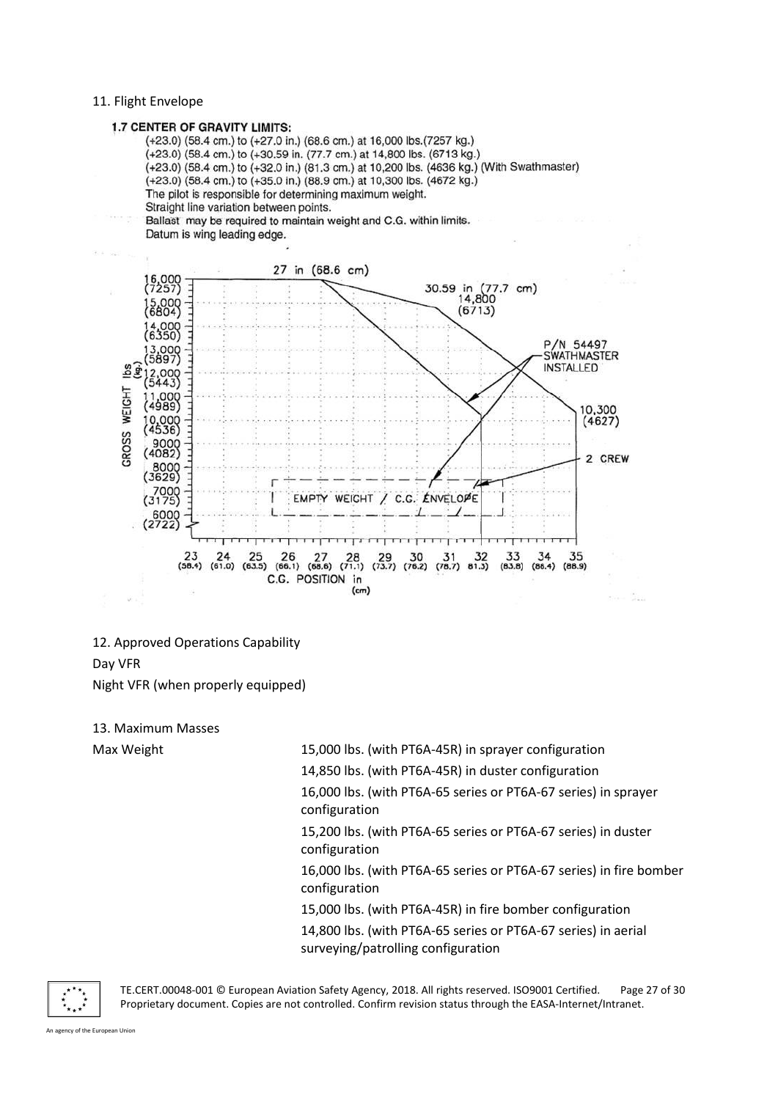#### 11. Flight Envelope

#### 1.7 CENTER OF GRAVITY LIMITS:

(+23.0) (58.4 cm.) to (+27.0 in.) (68.6 cm.) at 16,000 lbs.(7257 kg.) (+23.0) (58.4 cm.) to (+30.59 in. (77.7 cm.) at 14,800 lbs. (6713 kg.) (+23.0) (58.4 cm.) to (+32.0 in.) (81.3 cm.) at 10,200 lbs. (4636 kg.) (With Swathmaster) (+23.0) (58.4 cm.) to (+35.0 in.) (88.9 cm.) at 10,300 lbs. (4672 kg.)

The pilot is responsible for determining maximum weight.

Straight line variation between points.

Ballast may be required to maintain weight and C.G. within limits. Datum is wing leading edge.



12. Approved Operations Capability Day VFR

Night VFR (when properly equipped)

## 13. Maximum Masses

Max Weight 15,000 lbs. (with PT6A-45R) in sprayer configuration 14,850 lbs. (with PT6A-45R) in duster configuration 16,000 lbs. (with PT6A-65 series or PT6A-67 series) in sprayer configuration 15,200 lbs. (with PT6A-65 series or PT6A-67 series) in duster configuration 16,000 lbs. (with PT6A-65 series or PT6A-67 series) in fire bomber configuration 15,000 lbs. (with PT6A-45R) in fire bomber configuration 14,800 lbs. (with PT6A-65 series or PT6A-67 series) in aerial

surveying/patrolling configuration



TE.CERT.00048-001 © European Aviation Safety Agency, 2018. All rights reserved. ISO9001 Certified. Page 27 of 30 Proprietary document. Copies are not controlled. Confirm revision status through the EASA-Internet/Intranet.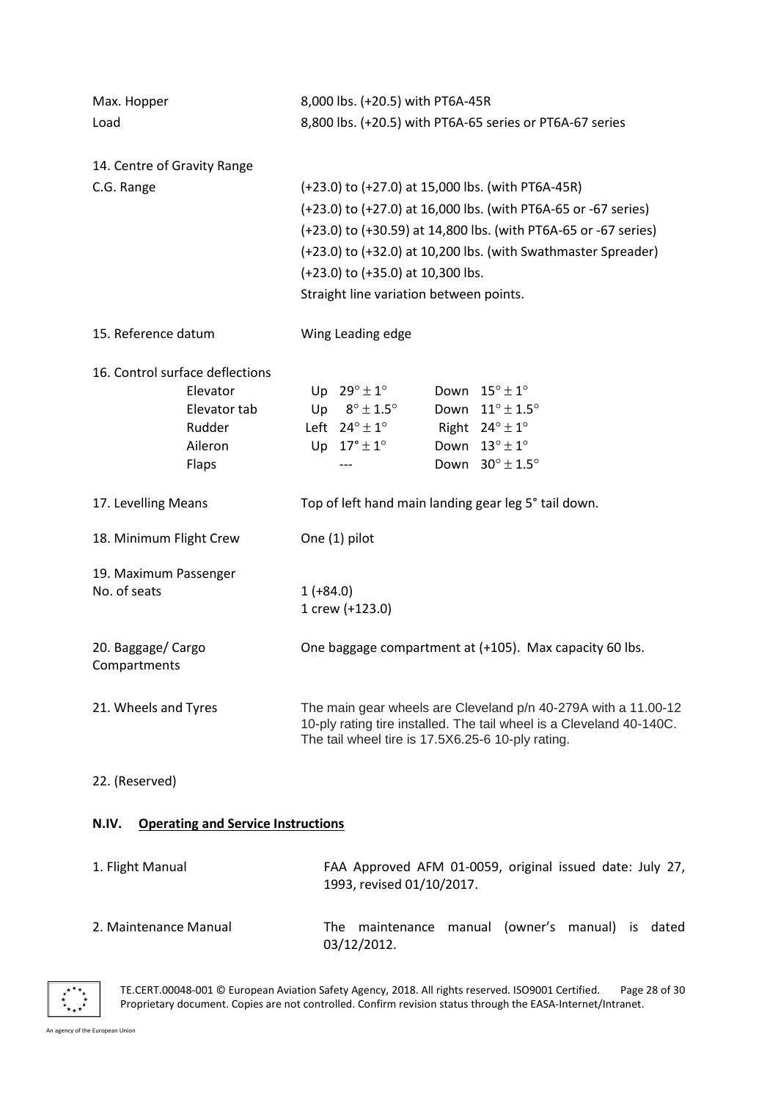| Max. Hopper                 |                                 | 8,000 lbs. (+20.5) with PT6A-45R                                                                                          |                                   |      |                                                                 |  |
|-----------------------------|---------------------------------|---------------------------------------------------------------------------------------------------------------------------|-----------------------------------|------|-----------------------------------------------------------------|--|
| Load                        |                                 |                                                                                                                           |                                   |      | 8,800 lbs. (+20.5) with PT6A-65 series or PT6A-67 series        |  |
|                             |                                 |                                                                                                                           |                                   |      |                                                                 |  |
| 14. Centre of Gravity Range |                                 |                                                                                                                           |                                   |      |                                                                 |  |
| C.G. Range                  |                                 | (+23.0) to (+27.0) at 15,000 lbs. (with PT6A-45R)                                                                         |                                   |      |                                                                 |  |
|                             |                                 |                                                                                                                           |                                   |      | (+23.0) to (+27.0) at 16,000 lbs. (with PT6A-65 or -67 series)  |  |
|                             |                                 |                                                                                                                           |                                   |      | (+23.0) to (+30.59) at 14,800 lbs. (with PT6A-65 or -67 series) |  |
|                             |                                 |                                                                                                                           |                                   |      | (+23.0) to (+32.0) at 10,200 lbs. (with Swathmaster Spreader)   |  |
|                             |                                 |                                                                                                                           | (+23.0) to (+35.0) at 10,300 lbs. |      |                                                                 |  |
|                             |                                 |                                                                                                                           |                                   |      |                                                                 |  |
|                             |                                 | Straight line variation between points.                                                                                   |                                   |      |                                                                 |  |
| 15. Reference datum         |                                 | Wing Leading edge                                                                                                         |                                   |      |                                                                 |  |
|                             | 16. Control surface deflections |                                                                                                                           |                                   |      |                                                                 |  |
|                             | Elevator                        |                                                                                                                           | Up $29^{\circ} \pm 1^{\circ}$     |      | Down $15^{\circ} \pm 1^{\circ}$                                 |  |
|                             | Elevator tab                    |                                                                                                                           | Up $8^\circ \pm 1.5^\circ$        | Down | $11^{\circ} \pm 1.5^{\circ}$                                    |  |
|                             | Rudder                          |                                                                                                                           | Left $24^{\circ} \pm 1^{\circ}$   |      | Right $24^{\circ} \pm 1^{\circ}$                                |  |
|                             | Aileron                         |                                                                                                                           | Up $17^\circ \pm 1^\circ$         | Down | $13^{\circ} \pm 1^{\circ}$                                      |  |
|                             | Flaps                           |                                                                                                                           |                                   |      | Down $30^{\circ} \pm 1.5^{\circ}$                               |  |
| 17. Levelling Means         |                                 |                                                                                                                           |                                   |      | Top of left hand main landing gear leg 5° tail down.            |  |
| 18. Minimum Flight Crew     |                                 | One (1) pilot                                                                                                             |                                   |      |                                                                 |  |
|                             |                                 |                                                                                                                           |                                   |      |                                                                 |  |
| 19. Maximum Passenger       |                                 |                                                                                                                           |                                   |      |                                                                 |  |
| No. of seats                |                                 | $1 (+84.0)$<br>1 crew (+123.0)                                                                                            |                                   |      |                                                                 |  |
|                             |                                 |                                                                                                                           |                                   |      |                                                                 |  |
| 20. Baggage/ Cargo          |                                 | One baggage compartment at (+105). Max capacity 60 lbs.                                                                   |                                   |      |                                                                 |  |
| Compartments                |                                 |                                                                                                                           |                                   |      |                                                                 |  |
|                             |                                 |                                                                                                                           |                                   |      |                                                                 |  |
| 21. Wheels and Tyres        |                                 | The main gear wheels are Cleveland p/n 40-279A with a 11.00-12                                                            |                                   |      |                                                                 |  |
|                             |                                 | 10-ply rating tire installed. The tail wheel is a Cleveland 40-140C.<br>The tail wheel tire is 17.5X6.25-6 10-ply rating. |                                   |      |                                                                 |  |
|                             |                                 |                                                                                                                           |                                   |      |                                                                 |  |
| 22. (Reserved)              |                                 |                                                                                                                           |                                   |      |                                                                 |  |
|                             |                                 |                                                                                                                           |                                   |      |                                                                 |  |

## <span id="page-27-0"></span>**N.IV. Operating and Service Instructions**

| 1. Flight Manual      | FAA Approved AFM 01-0059, original issued date: July 27,<br>1993, revised 01/10/2017. |  |
|-----------------------|---------------------------------------------------------------------------------------|--|
| 2. Maintenance Manual | The maintenance manual (owner's manual) is dated<br>03/12/2012.                       |  |



TE.CERT.00048-001 © European Aviation Safety Agency, 2018. All rights reserved. ISO9001 Certified. Page 28 of 30 Proprietary document. Copies are not controlled. Confirm revision status through the EASA-Internet/Intranet.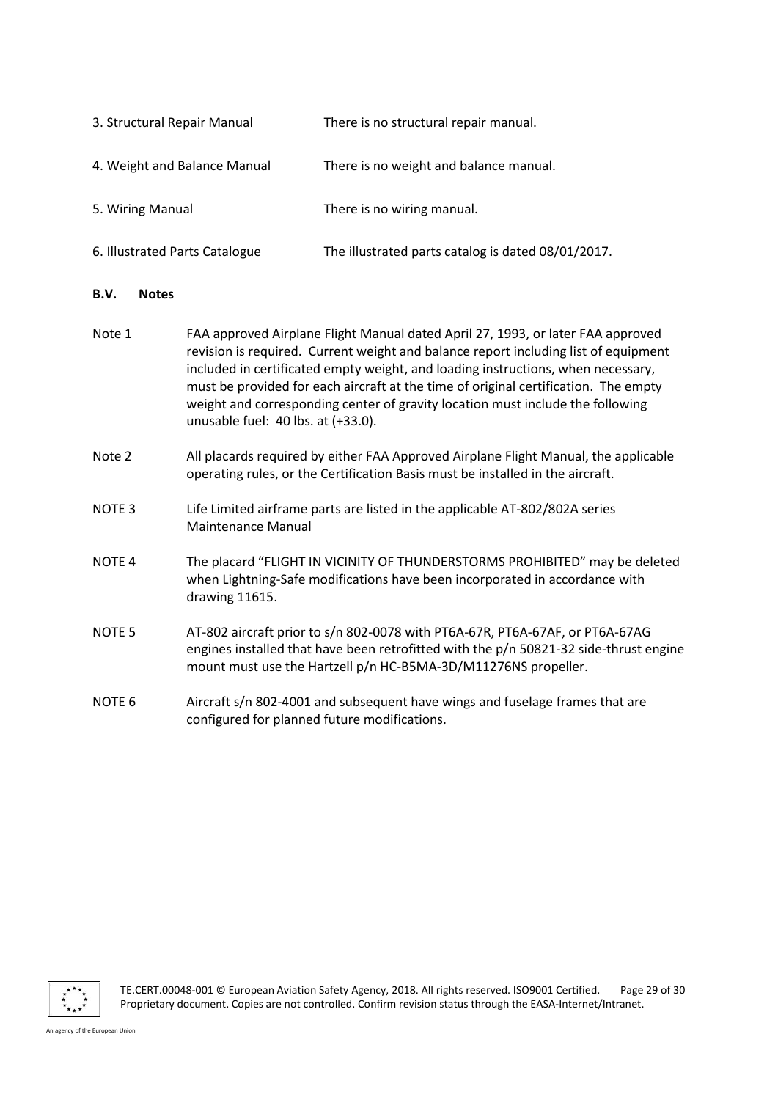| 3. Structural Repair Manual    | There is no structural repair manual.              |
|--------------------------------|----------------------------------------------------|
| 4. Weight and Balance Manual   | There is no weight and balance manual.             |
| 5. Wiring Manual               | There is no wiring manual.                         |
| 6. Illustrated Parts Catalogue | The illustrated parts catalog is dated 08/01/2017. |

## **B.V. Notes**

- Note 1 FAA approved Airplane Flight Manual dated April 27, 1993, or later FAA approved revision is required. Current weight and balance report including list of equipment included in certificated empty weight, and loading instructions, when necessary, must be provided for each aircraft at the time of original certification. The empty weight and corresponding center of gravity location must include the following unusable fuel: 40 lbs. at (+33.0).
- Note 2 All placards required by either FAA Approved Airplane Flight Manual, the applicable operating rules, or the Certification Basis must be installed in the aircraft.
- NOTE 3 Life Limited airframe parts are listed in the applicable AT-802/802A series Maintenance Manual
- NOTE 4 The placard "FLIGHT IN VICINITY OF THUNDERSTORMS PROHIBITED" may be deleted when Lightning-Safe modifications have been incorporated in accordance with drawing 11615.
- NOTE 5 AT-802 aircraft prior to s/n 802-0078 with PT6A-67R, PT6A-67AF, or PT6A-67AG engines installed that have been retrofitted with the p/n 50821-32 side-thrust engine mount must use the Hartzell p/n HC-B5MA-3D/M11276NS propeller.
- NOTE 6 Aircraft s/n 802-4001 and subsequent have wings and fuselage frames that are configured for planned future modifications.



TE.CERT.00048-001 © European Aviation Safety Agency, 2018. All rights reserved. ISO9001 Certified. Page 29 of 30 Proprietary document. Copies are not controlled. Confirm revision status through the EASA-Internet/Intranet.